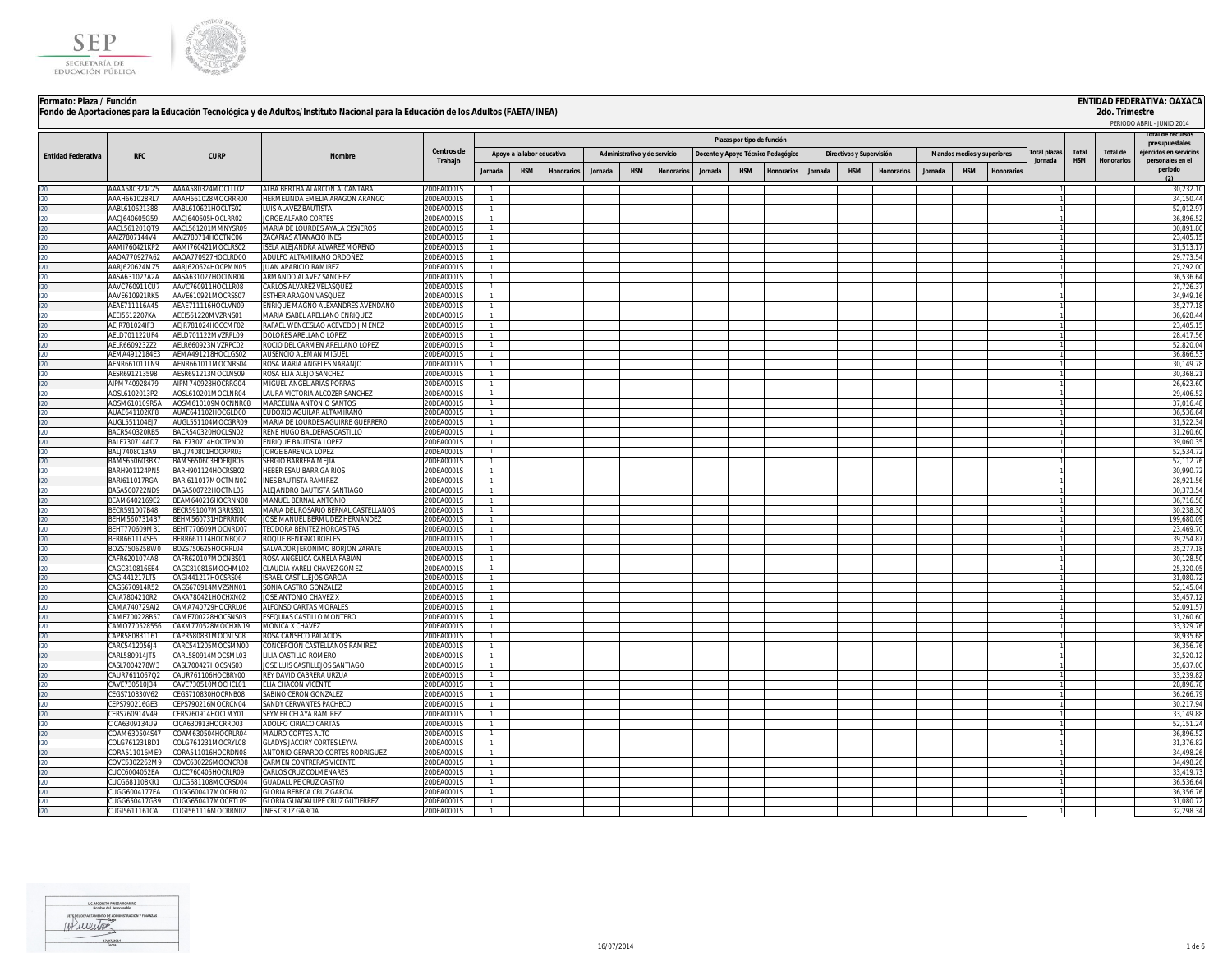



## **Formato: Plaza / Función ENTIDAD FEDERATIVA: OAXACA Fondo de Aportaciones para la Educación Tecnológica y de Adultos/Instituto Nacional para la Educación de los Adultos (FAETA/INEA)**

|                           |                                |                                          |                                                                        |                          |                |                            |                   |        |                              |                  |         |                                    |                   |         |                          |                   |         |                            |           |                     |            |            | PERIODO ABRIL - JUNIO 2014               |
|---------------------------|--------------------------------|------------------------------------------|------------------------------------------------------------------------|--------------------------|----------------|----------------------------|-------------------|--------|------------------------------|------------------|---------|------------------------------------|-------------------|---------|--------------------------|-------------------|---------|----------------------------|-----------|---------------------|------------|------------|------------------------------------------|
|                           |                                |                                          |                                                                        |                          |                |                            |                   |        |                              |                  |         | Plazas por tipo de función         |                   |         |                          |                   |         |                            |           |                     |            |            | lotal de recursos                        |
|                           |                                |                                          |                                                                        | <b>Centros de</b>        |                |                            |                   |        |                              |                  |         |                                    |                   |         |                          |                   |         |                            |           | <b>Total plazas</b> | Total      | Total de   | presupuestales<br>ejercidos en servicios |
| <b>Entidad Federativa</b> | <b>RFC</b>                     | <b>CURP</b>                              | <b>Nombre</b>                                                          | Trabajo                  |                | Apoyo a la labor educativa |                   |        | Administrativo y de servicio |                  |         | Docente y Apoyo Técnico Pedagógico |                   |         | Directivos y Supervisión |                   |         | Mandos medios y superiores |           | Jornada             | <b>HSM</b> | Honorarios | personales en el                         |
|                           |                                |                                          |                                                                        |                          | Jornada        | <b>HSM</b>                 | <b>Honorarios</b> | Jornad | <b>HSM</b>                   | <b>Honorario</b> | Jornada | <b>HSM</b>                         | <b>Ionorarios</b> | Jornada | HSM                      | <b>Honorarios</b> | Jornada | <b>HSM</b>                 | Honorario |                     |            |            | periodo                                  |
|                           | AAAA580324CZ5                  | AAAA580324MOCLLL02                       | ALBA BERTHA ALARCON ALCANTARA                                          | 20DEA0001S               |                |                            |                   |        |                              |                  |         |                                    |                   |         |                          |                   |         |                            |           |                     |            |            | 30.232.1                                 |
|                           | AAAH661028RL7                  | AAAH661028MOCRRR00                       | HERMELINDA EMELIA ARAGON ARANGO                                        | 20DEA0001S               |                |                            |                   |        |                              |                  |         |                                    |                   |         |                          |                   |         |                            |           |                     |            |            | 34,150.4                                 |
|                           | AABL610621388                  | AABL610621HOCLTS02                       | LUIS ALAVEZ BAUTISTA                                                   | 20DEA0001S               |                |                            |                   |        |                              |                  |         |                                    |                   |         |                          |                   |         |                            |           |                     |            |            | 52,012.9                                 |
|                           | AACJ640605G59                  | AACJ640605HOCLRR02                       | JORGE ALFARO CORTES                                                    | 0DEA0001S                |                |                            |                   |        |                              |                  |         |                                    |                   |         |                          |                   |         |                            |           |                     |            |            | 36,896.5                                 |
|                           | AACL561201OT9<br>AAIZ7807144V4 | AACL561201MMNYSR09<br>AAIZ780714HOCTNC06 | MARIA DE LOURDES AYALA CISNEROS<br>ZACARIAS ATANACIO INES              | 0DEA0001S<br>ODEA0001S   |                |                            |                   |        |                              |                  |         |                                    |                   |         |                          |                   |         |                            |           |                     |            |            | 30.891.8<br>23.405.1                     |
|                           | AAMI760421KP2                  | AAMI760421MOCLRS02                       | ISELA ALEJANDRA ALVAREZ MORENO                                         | 20DEA0001S               |                |                            |                   |        |                              |                  |         |                                    |                   |         |                          |                   |         |                            |           |                     |            |            | 31.513.1                                 |
|                           | AA0A770927A62                  | AAOA770927HOCLRD00                       | ADULFO ALTAMIRANO ORDOÑEZ                                              | 20DEA0001S               | $\mathbf{1}$   |                            |                   |        |                              |                  |         |                                    |                   |         |                          |                   |         |                            |           |                     |            |            | 29.773.54                                |
|                           | AAR1620624M75                  | AARJ620624HOCPMN05                       | <b>IUAN APARICIO RAMIREZ</b>                                           | 20DEA0001S               |                |                            |                   |        |                              |                  |         |                                    |                   |         |                          |                   |         |                            |           |                     |            |            | 27,292.00                                |
|                           | AASA631027A2A                  | AASA631027HOCLNR04                       | ARMANDO ALAVEZ SANCHEZ                                                 | 20DEA0001S               |                |                            |                   |        |                              |                  |         |                                    |                   |         |                          |                   |         |                            |           |                     |            |            | 36,536.64                                |
|                           | AAVC760911CU7                  | AAVC760911HOCLLR08                       | CARLOS ALVAREZ VELASQUEZ                                               | 20DEA0001S               |                |                            |                   |        |                              |                  |         |                                    |                   |         |                          |                   |         |                            |           |                     |            |            | 27,726.3                                 |
|                           | AAVE610921RK5<br>AEAE711116A45 | AAVE610921MOCRSS07<br>AEAE711116HOCLVN09 | ESTHER ARAGON VASQUEZ<br>ENRIQUE MAGNO ALEXANDRES AVENDAÑO             | 20DEA0001S<br>20DEA00019 |                |                            |                   |        |                              |                  |         |                                    |                   |         |                          |                   |         |                            |           |                     |            |            | 34,949.1<br>35,277.1                     |
|                           | AEEI5612207KA                  | AEEI561220MVZRNS01                       | MARIA ISABEL ARELLANO ENRIQUEZ                                         | 20DEA0001S               |                |                            |                   |        |                              |                  |         |                                    |                   |         |                          |                   |         |                            |           |                     |            |            | 36.628.4                                 |
|                           | <b>AEJR781024IF3</b>           | AEJR781024HOCCMF02                       | RAFAEL WENCESLAO ACEVEDO JIMENEZ                                       | 20DEA0001S               |                |                            |                   |        |                              |                  |         |                                    |                   |         |                          |                   |         |                            |           |                     |            |            | 23,405.1                                 |
|                           | AELD701122UF4                  | AELD701122MVZRPL09                       | <b>DOLORES ARELLANO LOPEZ</b>                                          | 20DEA0001S               |                |                            |                   |        |                              |                  |         |                                    |                   |         |                          |                   |         |                            |           |                     |            |            | 28,417.56                                |
|                           | AELR6609232Z2                  | AELR660923MVZRPC02                       | ROCIO DEL CARMEN ARELLANO LOPEZ                                        | 20DEA0001S               |                |                            |                   |        |                              |                  |         |                                    |                   |         |                          |                   |         |                            |           |                     |            |            | 52,820.0                                 |
|                           | AEMA4912184E3                  | AEMA491218HOCLGS02                       | AUSENCIO ALEMAN MIGUEL                                                 | 20DEA0001S               |                |                            |                   |        |                              |                  |         |                                    |                   |         |                          |                   |         |                            |           |                     |            |            | 36,866.5                                 |
|                           | AENR661011LN9                  | AENR661011MOCNRS04                       | ROSA MARIA ANGELES NARANJO<br>ROSA ELIA ALEJO SANCHEZ                  | 20DEA0001S               |                |                            |                   |        |                              |                  |         |                                    |                   |         |                          |                   |         |                            |           |                     |            |            | 30,149.7<br>30,368.2                     |
|                           | ESR691213598<br>IPM740928479   | AESR691213MOCLNS09<br>AIPM740928HOCRRG04 | MIGUEL ANGEL ARIAS PORRAS                                              | 20DEA0001S<br>20DEA0001S |                |                            |                   |        |                              |                  |         |                                    |                   |         |                          |                   |         |                            |           |                     |            |            | 26,623.60                                |
|                           | AOSI 6102013P2                 | AOSI 610201MOCLNR04                      | LAURA VICTORIA ALCOZER SANCHEZ                                         | 0DFA0001S                | -1.            |                            |                   |        |                              |                  |         |                                    |                   |         |                          |                   |         |                            |           |                     |            |            | 29.406.5                                 |
|                           | AOSM610109R5A                  | AOSM610109MOCNNR08                       | MARCELINA ANTONIO SANTOS                                               | 20DEA0001S               | $\overline{1}$ |                            |                   |        |                              |                  |         |                                    |                   |         |                          |                   |         |                            |           |                     |            |            | 37,016.48                                |
|                           | ΑΙΙΑΕΛ41102ΚΕΒ                 | AUAF641102HOCGLD00                       | FUDOXIO AGUILAR ALTAMIRANO                                             | 20DFA0001S               | $\mathbf{1}$   |                            |                   |        |                              |                  |         |                                    |                   |         |                          |                   |         |                            |           |                     |            |            | 36,536.64                                |
|                           | AUGL551104EJ7                  | AUGL551104MOCGRR09                       | MARIA DE LOURDES AGUIRRE GUERRERO                                      | 20DEA0001S               |                |                            |                   |        |                              |                  |         |                                    |                   |         |                          |                   |         |                            |           |                     |            |            | 31,522.3                                 |
|                           | BACR540320RB5                  | BACR540320HOCLSN02                       | RENE HUGO BALDERAS CASTILLO                                            | 20DEA0001S               |                |                            |                   |        |                              |                  |         |                                    |                   |         |                          |                   |         |                            |           |                     |            |            | 31,260.6                                 |
|                           | BALE730714AD7<br>BALJ7408013A9 | BALE730714HOCTPN00<br>BALJ740801HOCRPR03 | ENRIQUE BAUTISTA LOPEZ<br>JORGE BARENCA LÓPEZ                          | 20DEA0001S<br>20DEA0001S |                |                            |                   |        |                              |                  |         |                                    |                   |         |                          |                   |         |                            |           |                     |            |            | 39,060.3<br>52,534.7                     |
|                           | BAMS650603BX7                  | BAMS650603HDFRJR06                       | SERGIO BARRERA MEJIA                                                   | 20DEA0001S               |                |                            |                   |        |                              |                  |         |                                    |                   |         |                          |                   |         |                            |           |                     |            |            | 52,112.7                                 |
|                           | BARH901124PN5                  | BARH901124HOCRSB02                       | <b>HEBER ESAU BARRIGA RIOS</b>                                         | 20DEA0001S               |                |                            |                   |        |                              |                  |         |                                    |                   |         |                          |                   |         |                            |           |                     |            |            | 30,990.7                                 |
|                           | BARI611017RGA                  | BARI611017MOCTMN02                       | <b>INES BAUTISTA RAMIREZ</b>                                           | 20DEA0001S               |                |                            |                   |        |                              |                  |         |                                    |                   |         |                          |                   |         |                            |           |                     |            |            | 28,921.5                                 |
|                           | BASA500722ND9                  | BASA500722HOCTNL05                       | ALEJANDRO BAUTISTA SANTIAGO                                            | 20DEA0001S               |                |                            |                   |        |                              |                  |         |                                    |                   |         |                          |                   |         |                            |           |                     |            |            | 30.373.5                                 |
|                           | BEAM6402169E2<br>ECR591007B48  | BEAM640216HOCRNN08<br>BECR591007MGRRSS01 | MANUEL BERNAL ANTONIO                                                  | 20DEA0001S<br>20DEA0001S |                |                            |                   |        |                              |                  |         |                                    |                   |         |                          |                   |         |                            |           |                     |            |            | 36,716.5<br>30,238.3                     |
|                           | EHM5607314B7                   | BEHM560731HDFRRN00                       | MARIA DEL ROSARIO BERNAL CASTELLANOS<br>JOSE MANUEL BERMUDEZ HERNANDEZ | 0DEA0001S                |                |                            |                   |        |                              |                  |         |                                    |                   |         |                          |                   |         |                            |           |                     |            |            | 199,680.0                                |
|                           | EHT770609MB1                   | BEHT770609MOCNRD07                       | TEODORA BENITEZ HORCASITAS                                             | 0DEA0001S                |                |                            |                   |        |                              |                  |         |                                    |                   |         |                          |                   |         |                            |           |                     |            |            | 23,469.7                                 |
|                           | ERR661114SE5                   | BERR661114HOCNBO02                       | ROQUE BENIGNO ROBLES                                                   | 20DEA0001S               |                |                            |                   |        |                              |                  |         |                                    |                   |         |                          |                   |         |                            |           |                     |            |            | 39.254.8                                 |
|                           | OZS750625BW0                   | BOZS750625HOCRRL04                       | SALVADOR JERONIMO BORJON ZARATE                                        | 20DEA0001S               | $\overline{1}$ |                            |                   |        |                              |                  |         |                                    |                   |         |                          |                   |         |                            |           |                     |            |            | 35.277.1                                 |
|                           | AFR6201074A8                   | CAFR620107MOCNBS01                       | ROSA ANGELICA CANELA FABIAN                                            | 20DEA0001S               |                |                            |                   |        |                              |                  |         |                                    |                   |         |                          |                   |         |                            |           |                     |            |            | 30.128.50                                |
|                           | CAGC810816FF4<br>CAGI441217LT5 | CAGC810816MOCHML02<br>CAGI441217HOCSRS06 | CLAUDIA YARELI CHAVEZ GOMEZ<br>ISRAEL CASTILLEJOS GARCIA               | 20DEA0001S<br>20DEA0001S |                |                            |                   |        |                              |                  |         |                                    |                   |         |                          |                   |         |                            |           |                     |            |            | 25,320.09<br>31,080.72                   |
|                           | CAGS670914R52                  | CAGS670914MVZSNN01                       | SONIA CASTRO GONZALEZ                                                  | 20DEA0001S               |                |                            |                   |        |                              |                  |         |                                    |                   |         |                          |                   |         |                            |           |                     |            |            | 52,145.04                                |
|                           | CAJA7804210R2                  | CAXA780421HOCHXN02                       | JOSE ANTONIO CHAVEZ X                                                  | 20DEA0001S               |                |                            |                   |        |                              |                  |         |                                    |                   |         |                          |                   |         |                            |           |                     |            |            | 35,457.1                                 |
|                           | AMA740729AI2                   | CAMA740729HOCRRL06                       | ALFONSO CARTAS MORALES                                                 | 20DEA0001S               |                |                            |                   |        |                              |                  |         |                                    |                   |         |                          |                   |         |                            |           |                     |            |            | 52,091.5                                 |
|                           | AME700228B57                   | CAME700228HOCSNS03                       | ESEQUIAS CASTILLO MONTERO                                              | 20DEA0001S               |                |                            |                   |        |                              |                  |         |                                    |                   |         |                          |                   |         |                            |           |                     |            |            | 31,260.6                                 |
|                           | AM0770528556                   | CAXM770528MOCHXN19                       | MONICA X CHAVEZ                                                        | 20DEA0001S               |                |                            |                   |        |                              |                  |         |                                    |                   |         |                          |                   |         |                            |           |                     |            |            | 33,329.7                                 |
|                           | CAPR580831161<br>CARC5412056J4 | CAPR580831MOCNLS08<br>CARC541205MOCSMN00 | ROSA CANSECO PALACIOS<br>CONCEPCION CASTELLANOS RAMIREZ                | 20DEA0001S<br>20DEA0001S | $\mathbf{1}$   |                            |                   |        |                              |                  |         |                                    |                   |         |                          |                   |         |                            |           |                     |            |            | 38,935.68<br>36,356.7                    |
|                           | CARL580914JT5                  | CARL580914MOCSML03                       | LILIA CASTILLO ROMERO                                                  | 20DEA0001S               |                |                            |                   |        |                              |                  |         |                                    |                   |         |                          |                   |         |                            |           |                     |            |            | 32,520.1                                 |
|                           | ASL7004278W3                   | CASL700427HOCSNS03                       | JOSE LUIS CASTILLEJOS SANTIAGO                                         | 20DEA0001S               |                |                            |                   |        |                              |                  |         |                                    |                   |         |                          |                   |         |                            |           |                     |            |            | 35,637.0                                 |
|                           | AUR7611067Q2                   | CAUR761106HOCBRY00                       | REY DAVID CABRERA URZUA                                                | 20DEA0001S               |                |                            |                   |        |                              |                  |         |                                    |                   |         |                          |                   |         |                            |           |                     |            |            | 33,239.8                                 |
|                           | AVE730510J34                   | CAVE730510MOCHCL01                       | ELIA CHACON VICENTE                                                    | 20DEA0001S               |                |                            |                   |        |                              |                  |         |                                    |                   |         |                          |                   |         |                            |           |                     |            |            | 28,896.7                                 |
|                           | EGS710830V62                   | CEGS710830HOCRNB08                       | SABINO CERON GONZALEZ                                                  | 20DEA0001S               | $\mathbf{1}$   |                            |                   |        |                              |                  |         |                                    |                   |         |                          |                   |         |                            |           |                     |            |            | 36,266.7                                 |
|                           | EPS790216GE3<br>ERS760914V49   | CEPS790216MOCRCN04<br>CERS760914HOCLMY01 | SANDY CERVANTES PACHECO<br>SEYMER CELAYA RAMIREZ                       | 20DEA0001S<br>20DEA0001S | $\mathbf{1}$   |                            |                   |        |                              |                  |         |                                    |                   |         |                          |                   |         |                            |           |                     |            |            | 30,217.94<br>33,149.8                    |
|                           | CICA6309134U9                  | CICA630913HOCRRD03                       | ADOLFO CIRIACO CARTAS                                                  | 20DEA0001S               |                |                            |                   |        |                              |                  |         |                                    |                   |         |                          |                   |         |                            |           |                     |            |            | 52,151.2                                 |
|                           | OAM630504S47                   | COAM630504HOCRLR04                       | MAURO CORTES ALTO                                                      | 20DEA0001S               |                |                            |                   |        |                              |                  |         |                                    |                   |         |                          |                   |         |                            |           |                     |            |            | 36,896.5                                 |
|                           | OLG761231BD1                   | COLG761231MOCRYL08                       | <b>GLADYS JACCIRY CORTES LEYVA</b>                                     | 20DEA00019               |                |                            |                   |        |                              |                  |         |                                    |                   |         |                          |                   |         |                            |           |                     |            |            | 31,376.8                                 |
|                           | ORA511016MF9                   | CORA511016HOCRDN08                       | ANTONIO GERARDO CORTES RODRIGUEZ                                       | 20DEA0001S               |                |                            |                   |        |                              |                  |         |                                    |                   |         |                          |                   |         |                            |           |                     |            |            | 34,498.2                                 |
|                           | OVC6302262M9                   | COVC630226MOCNCR08                       | CARMEN CONTRERAS VICENTE                                               | 20DEA0001S               |                |                            |                   |        |                              |                  |         |                                    |                   |         |                          |                   |         |                            |           |                     |            |            | 34,498.2                                 |
|                           | UCC6004052EA<br>UCG681108KR1   | CUCC760405HOCRLR09<br>CUCG681108MOCRSD04 | CARLOS CRUZ COLMENARES<br><b>GUADALUPE CRUZ CASTRO</b>                 | 20DEA0001S<br>20DEA0001S | $\overline{1}$ |                            |                   |        |                              |                  |         |                                    |                   |         |                          |                   |         |                            |           |                     |            |            | 33,419.7<br>36.536.6                     |
|                           | UGG6004177EA                   | CUGG600417MOCRRL02                       | <b>GLORIA REBECA CRUZ GARCIA</b>                                       | 20DEA0001S               |                |                            |                   |        |                              |                  |         |                                    |                   |         |                          |                   |         |                            |           |                     |            |            | 36,356.7                                 |
|                           | UGG650417G39                   | CUGG650417MOCRTL09                       | GLORIA GUADALUPE CRUZ GUTIERREZ                                        | 20DEA0001S               |                |                            |                   |        |                              |                  |         |                                    |                   |         |                          |                   |         |                            |           |                     |            |            | 31,080.7                                 |
|                           | CUGI5611161CA                  | CUGI561116MOCRRN02                       | <b>INES CRUZ GARCIA</b>                                                | 20DEA0001S               |                |                            |                   |        |                              |                  |         |                                    |                   |         |                          |                   |         |                            |           |                     |            |            | 32,298.34                                |
|                           |                                |                                          |                                                                        |                          |                |                            |                   |        |                              |                  |         |                                    |                   |         |                          |                   |         |                            |           |                     |            |            |                                          |

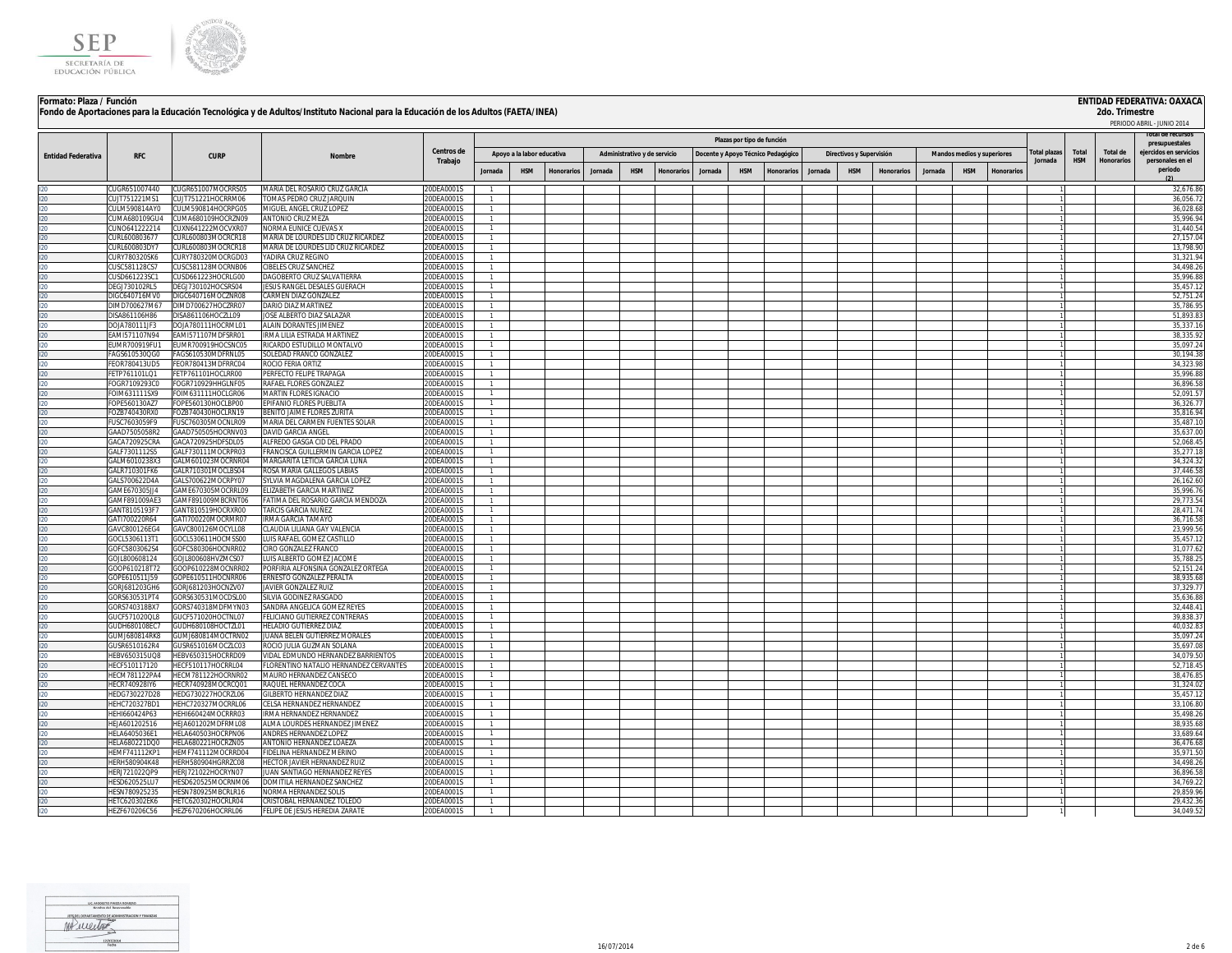



| Formato: Plaza / Función  |                                       |                                          | Fondo de Aportaciones para la Educación Tecnológica y de Adultos/Instituto Nacional para la Educación de los Adultos (FAETA/INEA) |                          |                                  |                            |                   |         |                              |           |         |                                    |                   |         |                          |                   |         |                            |                   |              |            | 2do. Trimestre    | <b>ENTIDAD FEDERATIVA: OAXACA</b>        |
|---------------------------|---------------------------------------|------------------------------------------|-----------------------------------------------------------------------------------------------------------------------------------|--------------------------|----------------------------------|----------------------------|-------------------|---------|------------------------------|-----------|---------|------------------------------------|-------------------|---------|--------------------------|-------------------|---------|----------------------------|-------------------|--------------|------------|-------------------|------------------------------------------|
|                           |                                       |                                          |                                                                                                                                   |                          |                                  |                            |                   |         |                              |           |         |                                    |                   |         |                          |                   |         |                            |                   |              |            |                   | PERIODO ABRIL - JUNIO 2014               |
|                           |                                       |                                          |                                                                                                                                   |                          |                                  |                            |                   |         |                              |           |         | Plazas por tipo de función         |                   |         |                          |                   |         |                            |                   |              |            |                   |                                          |
|                           |                                       |                                          |                                                                                                                                   | Centros de               |                                  | Apoyo a la labor educativa |                   |         | Administrativo y de servicio |           |         | Docente y Apoyo Técnico Pedagógico |                   |         | Directivos y Supervisión |                   |         | Mandos medios y superiores |                   | Total plazas | Total      | Total de          | presupuestales<br>ejercidos en servicios |
| <b>Entidad Federativa</b> | <b>RFC</b>                            | <b>CURP</b>                              | Nombre                                                                                                                            | Trabajo                  |                                  |                            |                   |         |                              |           |         |                                    |                   |         |                          |                   |         |                            |                   | Jornada      | <b>HSM</b> | <b>Honorarios</b> | personales en el                         |
|                           |                                       |                                          |                                                                                                                                   |                          | Jornada                          | <b>HSM</b>                 | <b>Honorarios</b> | Jornada | <b>HSM</b>                   | Honorario | Jornada | <b>HSM</b>                         | <b>Honorarios</b> | Jornada | <b>HSM</b>               | <b>Honorarios</b> | Jornada | <b>HSM</b>                 | <b>Honorarios</b> |              |            |                   | periodo                                  |
| 120                       | CUGR651007440                         | :UGR651007MOCRRS05                       | AARIA DEL ROSARIO CRUZ GARCIA                                                                                                     | 20DEA0001S               |                                  |                            |                   |         |                              |           |         |                                    |                   |         |                          |                   |         |                            |                   |              |            |                   | 32,676.86                                |
| 120                       | CUJT751221MS1                         | :UJT751221HOCRRM06                       | OMAS PEDRO CRUZ JARQUIN                                                                                                           | 20DEA0001S               | 1.                               |                            |                   |         |                              |           |         |                                    |                   |         |                          |                   |         |                            |                   |              |            |                   | 36,056.7                                 |
| 120                       | CULM590814AY0                         | :ULM590814HOCRPG05                       | VIIGUEL ANGEL CRUZ LOPEZ                                                                                                          | 20DEA0001S               | $\mathbf{1}$                     |                            |                   |         |                              |           |         |                                    |                   |         |                          |                   |         |                            |                   |              |            |                   | 36.028.68                                |
|                           | UMA680109GU4<br>CUNO641222214         | CUMA680109HOCRZN09<br>CUXN641222MOCVXR07 | ANTONIO CRUZ MEZA<br><b>VORMA EUNICE CUEVAS X</b>                                                                                 | 20DEA0001S<br>20DEA0001S | 1                                |                            |                   |         |                              |           |         |                                    |                   |         |                          |                   |         |                            |                   |              |            |                   | 35,996.9<br>31.440.5                     |
| 120<br>120<br>120<br>120  | URL600803677                          | URL600803MOCRCR18                        | <b>MARIA DE LOURDES LID CRUZ RICARDEZ</b>                                                                                         | 20DEA0001S               | $\mathbf{1}$<br>$\mathbf{1}$     |                            |                   |         |                              |           |         |                                    |                   |         |                          |                   |         |                            |                   |              |            |                   | 27,157.0                                 |
|                           | URL600803DY7                          | URL600803MOCRCR18                        | <b>AARIA DE LOURDES LID CRUZ RICARDEZ</b>                                                                                         | 20DEA0001S               | $\mathbf{1}$                     |                            |                   |         |                              |           |         |                                    |                   |         |                          |                   |         |                            |                   |              |            |                   | 13.798.9                                 |
|                           | URY780320SK6                          | CURY780320MOCRGD03                       | <b>ADIRA CRUZ REGINO</b>                                                                                                          | 20DEA0001S               | $\mathbf{1}$                     |                            |                   |         |                              |           |         |                                    |                   |         |                          |                   |         |                            |                   |              |            |                   | 31,321.94                                |
| I20<br>I20                | CUSC581128CS7                         | :USC581128MOCRNB06                       | <b>IBELES CRUZ SANCHEZ</b>                                                                                                        | 20DEA0001S               | $\mathbf{1}$                     |                            |                   |         |                              |           |         |                                    |                   |         |                          |                   |         |                            |                   |              |            |                   | 34,498.2                                 |
|                           | CUSD661223SC1<br><b>DEGJ730102RL5</b> | :USD661223HOCRLG00<br>DEGJ730102HOCSRS04 | DAGOBERTO CRUZ SALVATIERRA<br>JESUS RANGEL DESALES GUERACH                                                                        | 20DEA0001S<br>20DEA0001S | $\mathbf{1}$<br>$\mathbf{1}$     |                            |                   |         |                              |           |         |                                    |                   |         |                          |                   |         |                            |                   |              |            |                   | 35,996.8<br>35,457.1                     |
| 120<br>120                | DIGC640716MV0                         | IGC640716MOCZNR08                        | <b>ARMEN DIAZ GONZALEZ</b>                                                                                                        | 20DEA0001S               | $\overline{1}$                   |                            |                   |         |                              |           |         |                                    |                   |         |                          |                   |         |                            |                   |              |            |                   | 52,751.2                                 |
| $ 20\rangle$              | DIMD700627M67                         | (MD700627HOCZRR07                        | <b>DARIO DIAZ MARTINEZ</b>                                                                                                        | 20DEA0001S               | $\mathbf{1}$                     |                            |                   |         |                              |           |         |                                    |                   |         |                          |                   |         |                            |                   |              |            |                   | 35,786.9                                 |
| 120                       | DISA861106H86                         | DISA861106HOCZLL09                       | JOSE ALBERTO DIAZ SALAZAR                                                                                                         | 20DEA0001S               | $\overline{1}$                   |                            |                   |         |                              |           |         |                                    |                   |         |                          |                   |         |                            |                   |              |            |                   | 51,893.8                                 |
| 120                       | DOIA780111JF3                         | DOIA780111HOCRML0                        | ALAIN DORANTES JIMENEZ                                                                                                            | 20DEA0001S               | $\mathbf{1}$                     |                            |                   |         |                              |           |         |                                    |                   |         |                          |                   |         |                            |                   |              |            |                   | 35,337.1                                 |
| 120                       | FAMI571107N94<br>FUMR700919FU1        | AMI571107MDESRR01<br>FUMR700919HOCSNC05  | IRMA LILIA ESTRADA MARTINEZ<br>RICARDO ESTUDILLO MONTALVO                                                                         | 20DEA0001S<br>20DEA0001S | $\overline{1}$<br>$\overline{1}$ |                            |                   |         |                              |           |         |                                    |                   |         |                          |                   |         |                            |                   |              |            |                   | 38,335.9<br>35,097.2                     |
| 120<br>120                | FAGS610530QG0                         | AGS610530MDFRNL05                        | SOLEDAD FRANCO GONZALEZ                                                                                                           | 20DEA0001S               | $\mathbf{1}$                     |                            |                   |         |                              |           |         |                                    |                   |         |                          |                   |         |                            |                   |              |            |                   | 30,194.3                                 |
| 120                       | FEOR780413UD5                         | FOR780413MDERRC04                        | ROCIO FERIA ORTIZ                                                                                                                 | 20DEA0001S               | $\mathbf{1}$                     |                            |                   |         |                              |           |         |                                    |                   |         |                          |                   |         |                            |                   |              |            |                   | 34,323.9                                 |
| 120                       | FETP761101LQ1                         | FETP761101HOCLRR00                       | <b>ERFECTO FELIPE TRAPAGA</b>                                                                                                     | 20DEA0001S               | $\mathbf{1}$                     |                            |                   |         |                              |           |         |                                    |                   |         |                          |                   |         |                            |                   |              |            |                   | 35,996.8                                 |
| 120                       | FOGR7109293C0                         | OGR710929HHGLNE05                        | RAFAEL FLORES GONZALEZ                                                                                                            | 20DEA0001S               | $\mathbf{1}$                     |                            |                   |         |                              |           |         |                                    |                   |         |                          |                   |         |                            |                   |              |            |                   | 36,896.5                                 |
| 120                       | FOIM631111SX9<br>FOPE560130AZ7        | OIM631111HOCLGR06<br>OPE560130HOCLBP00   | <b>MARTIN FLORES IGNACIO</b><br><b>FPIFANIO FI ORFS PUFBLITA</b>                                                                  | 20DEA0001S<br>20DEA0001S | $\mathbf{1}$<br>$\mathbf{1}$     |                            |                   |         |                              |           |         |                                    |                   |         |                          |                   |         |                            |                   |              |            |                   | 52,091.5<br>36,326.7                     |
| 120<br>120                | FOZB740430RX0                         | OZB740430HOCLRN19                        | BENITO JAIME FLORES ZURIT                                                                                                         | 20DEA0001S               | 1                                |                            |                   |         |                              |           |         |                                    |                   |         |                          |                   |         |                            |                   |              |            |                   | 35,816.9                                 |
| 120                       | FUSC7603059F9                         | USC760305MOCNLR09                        | MARIA DEL CARMEN FUENTES SOLAR                                                                                                    | 20DEA0001S               | 1                                |                            |                   |         |                              |           |         |                                    |                   |         |                          |                   |         |                            |                   |              |            |                   | 35,487.1                                 |
| I20<br>I20                | GAAD7505058R2                         | GAAD750505HOCRNV03                       | DAVID GARCIA ANGEL                                                                                                                | 20DEA0001S               | $\mathbf{1}$                     |                            |                   |         |                              |           |         |                                    |                   |         |                          |                   |         |                            |                   |              |            |                   | 35,637.0                                 |
|                           | GACA720925CRA                         | GACA720925HDFSDL05                       | ALFREDO GASGA CID DEL PRADO                                                                                                       | 20DEA0001S               | $\mathbf{1}$                     |                            |                   |         |                              |           |         |                                    |                   |         |                          |                   |         |                            |                   |              |            |                   | 52,068.4                                 |
| 120                       | GALF7301112S5<br>GALM6010238X3        | GALE730111MOCRPR03<br>3ALM601023MOCRNR04 | FRANCISCA GUILLERMIN GARCIA LOPEZ<br><b>MARGARITA LETICIA GARCIA LUNA</b>                                                         | 20DEA0001S<br>20DEA0001S | $\mathbf{1}$<br>$\mathbf{1}$     |                            |                   |         |                              |           |         |                                    |                   |         |                          |                   |         |                            |                   |              |            |                   | 35,277.1<br>34,324.3                     |
| I20<br>I20                | GAI R710301FK6                        | GALR710301MOCLBS04                       | ROSA MARIA GALLEGOS LABIAS                                                                                                        | 20DEA0001S               | 1                                |                            |                   |         |                              |           |         |                                    |                   |         |                          |                   |         |                            |                   |              |            |                   | 37,446.5                                 |
| 120                       | GALS700622D4A                         | GALS700622MOCRPY07                       | SYLVIA MAGDALENA GARCIA LOPEZ                                                                                                     | 20DEA0001S               | 1                                |                            |                   |         |                              |           |         |                                    |                   |         |                          |                   |         |                            |                   |              |            |                   | 26,162.6                                 |
| 120                       | GAMF670305114                         | 3AME670305MOCRRL09                       | <b>I IZABETH GARCIA MARTINEZ</b>                                                                                                  | 20DEA0001S               | $\mathbf{1}$                     |                            |                   |         |                              |           |         |                                    |                   |         |                          |                   |         |                            |                   |              |            |                   | 35,996.7                                 |
| 120                       | GAMF891009AE3<br>GANT8105193F7        | GAMF891009MBCRNT06<br>GANT810519HOCRXR00 | ATIMA DEL ROSARIO GARCIA MENDOZA<br>TARCIS GARCIA NUÑEZ                                                                           | 20DEA0001S<br>20DEA0001S | $\mathbf{1}$<br>$\mathbf{1}$     |                            |                   |         |                              |           |         |                                    |                   |         |                          |                   |         |                            |                   |              |            |                   | 29,773.5<br>28,471.7                     |
| 120<br>120                | GATI700220R64                         | GATI700220MOCRMR07                       | IRMA GARCIA TAMAYO                                                                                                                | 20DEA0001S               | $\mathbf{1}$                     |                            |                   |         |                              |           |         |                                    |                   |         |                          |                   |         |                            |                   |              |            |                   | 36,716.5                                 |
| 120                       | GAVC800126EG4                         | GAVC800126MOCYLL08                       | LAUDIA LILIANA GAY VALENCIA                                                                                                       | 20DEA0001S               |                                  |                            |                   |         |                              |           |         |                                    |                   |         |                          |                   |         |                            |                   |              |            |                   | 23,999.5                                 |
| 120                       | GOCL5306113T1                         | GOCL530611HOCMSS00                       | UIS RAFAEL GOMEZ CASTILLO                                                                                                         | 20DEA0001S               | $\mathbf{1}$                     |                            |                   |         |                              |           |         |                                    |                   |         |                          |                   |         |                            |                   |              |            |                   | 35,457.1                                 |
| 120                       | GOFC5803062S4                         | GOFC580306HOCNRR02                       | IRO GONZALEZ FRANCO                                                                                                               | 20DEA0001S               | $\mathbf{1}$                     |                            |                   |         |                              |           |         |                                    |                   |         |                          |                   |         |                            |                   |              |            |                   | 31,077.6                                 |
| 120<br>120                | GOJL800608124<br>GOOP610218T72        | GOJL800608HVZMCS07<br>00P610228MOCNRR0   | UIS ALBERTO GOMEZ JACOME<br>OREIRIA ALEONSINA GONZALEZ ORTEGA                                                                     | 20DEA0001S<br>20DEA0001S |                                  |                            |                   |         |                              |           |         |                                    |                   |         |                          |                   |         |                            |                   |              |            |                   | 35.788.2<br>52,151.2                     |
| 120                       | GOPE610511J59                         | OPE610511HOCNRR0                         | RNESTO GONZALEZ PERALTA                                                                                                           | 20DEA0001S               |                                  |                            |                   |         |                              |           |         |                                    |                   |         |                          |                   |         |                            |                   |              |            |                   | 38,935.6                                 |
|                           | GORJ681203GH6                         | GORJ681203HOCNZV07                       | AVIER GONZALEZ RUIZ                                                                                                               | 20DEA0001S               | $\overline{1}$                   |                            |                   |         |                              |           |         |                                    |                   |         |                          |                   |         |                            |                   |              |            |                   | 37,329.7                                 |
| 120<br>120<br>120         | GORS630531PT4                         | GORS630531MOCDSL00                       | ILVIA GODINEZ RASGADO                                                                                                             | 20DEA00019               |                                  |                            |                   |         |                              |           |         |                                    |                   |         |                          |                   |         |                            |                   |              |            |                   | 35,636.8                                 |
|                           | GORS740318BX<br>GUCF571020QL8         | ORS740318MDEMYN03<br>SUCF571020HOCTNL07  | ANDRA ANGELICA GOMEZ REYES<br><b>LICIANO GUTIERREZ CONTRERAS</b>                                                                  | 20DEA0001S<br>20DEA0001S |                                  |                            |                   |         |                              |           |         |                                    |                   |         |                          |                   |         |                            |                   |              |            |                   | 32,448.4<br>39,838.3                     |
|                           | GUDH680108EC7                         | GUDH680108HOCTZL0                        | <b>IFI ADIO GLITIERREZ DIA:</b>                                                                                                   | 20DEA0001S               |                                  |                            |                   |         |                              |           |         |                                    |                   |         |                          |                   |         |                            |                   |              |            |                   | 40.032.8                                 |
| 20<br>  20<br>  20        | GUMI680814RKF                         | <b>IUM I680814MOCTRN02</b>               | UANA BELEN GUTIERREZ MORALES                                                                                                      | 20DEA0001S               |                                  |                            |                   |         |                              |           |         |                                    |                   |         |                          |                   |         |                            |                   |              |            |                   | 35,097.2                                 |
|                           | GUSR6510162R4                         | <b>USR651016MOCZLC03</b>                 | OCIO ILIHA GHZMAN SOLANI                                                                                                          | 20DEA0001S               |                                  |                            |                   |         |                              |           |         |                                    |                   |         |                          |                   |         |                            |                   |              |            |                   | 35.697.0                                 |
|                           | HEBV650315UQ8                         | HEBV650315HOCRRD09                       | IDAL EDMUNDO HERNANDEZ BARRIENTOS                                                                                                 | 20DEA0001S               |                                  |                            |                   |         |                              |           |         |                                    |                   |         |                          |                   |         |                            |                   |              |            |                   | 34,079.5                                 |
|                           | HECF510117120<br><b>HECM781122PA4</b> | HECF510117HOCRRL04<br>HECM781122HOCRNR02 | LORENTINO NATALIO HERNANDEZ CERVANTES<br><b>AAURO HERNANDEZ CANSECC</b>                                                           | 20DEA0001S<br>20DEA0001S |                                  |                            |                   |         |                              |           |         |                                    |                   |         |                          |                   |         |                            |                   |              |            |                   | 52,718.4<br>38.476.8                     |
|                           | HECR740928IY6                         | HECR740928MOCRCQ01                       | RAQUEL HERNANDEZ COCA                                                                                                             | 20DEA0001S               |                                  |                            |                   |         |                              |           |         |                                    |                   |         |                          |                   |         |                            |                   |              |            |                   | 31,324.0                                 |
|                           | HEDG730227D28                         | HEDG730227HOCRZL06                       | <b>SILBERTO HERNANDEZ DIAZ</b>                                                                                                    | 20DEA0001S               | $\mathbf{1}$                     |                            |                   |         |                              |           |         |                                    |                   |         |                          |                   |         |                            |                   |              |            |                   | 35.457.1                                 |
|                           | <b>HEHC720327BD1</b>                  | HEHC720327MOCRRL06                       | ELSA HERNANDEZ HERNANDEZ                                                                                                          | 20DEA0001S               |                                  |                            |                   |         |                              |           |         |                                    |                   |         |                          |                   |         |                            |                   |              |            |                   | 33,106.8                                 |
|                           | HEHI660424P63                         | HEHI660424MOCRRR03                       | RMA HERNANDEZ HERNANDEZ                                                                                                           | 20DEA0001S               | $\mathbf{1}$                     |                            |                   |         |                              |           |         |                                    |                   |         |                          |                   |         |                            |                   |              |            |                   | 35.498.2                                 |
|                           | HEJA601202516<br>HELA6405036E1        | HEJA601202MDFRML08<br>HELA640503HOCRPN06 | LMA LOURDES HERNANDEZ JIMENEZ<br><b>INDRES HERNANDEZ LOPEZ</b>                                                                    | 20DEA0001S<br>20DEA0001S | $\overline{1}$<br>$\overline{1}$ |                            |                   |         |                              |           |         |                                    |                   |         |                          |                   |         |                            |                   |              |            |                   | 38,935.6<br>33,689.6                     |
|                           | HELA680221DQ0                         | HELA680221HOCRZN05                       | <b>ANTONIO HERNANDEZ LOAEZA</b>                                                                                                   | 20DEA0001S               | $\mathbf{1}$                     |                            |                   |         |                              |           |         |                                    |                   |         |                          |                   |         |                            |                   |              |            |                   | 36,476.6                                 |
|                           | <b>HEMF741112KP1</b>                  | HEMF741112MOCRRD04                       | <b>IDELINA HERNANDEZ MERINO</b>                                                                                                   | 20DEA0001S               | $\overline{1}$                   |                            |                   |         |                              |           |         |                                    |                   |         |                          |                   |         |                            |                   |              |            |                   | 35,971.5                                 |
|                           | HERH580904K48                         | HERH580904HGRRZC08                       | <b>HECTOR JAVIER HERNANDEZ RUIZ</b>                                                                                               | 20DEA0001S               | $\overline{1}$                   |                            |                   |         |                              |           |         |                                    |                   |         |                          |                   |         |                            |                   |              |            |                   | 34,498.2                                 |
|                           | HFR1721022OP9<br><b>HESD620525LLE</b> | HERJ721022HOCRYN07<br>HESD620525MOCRNM06 | <b>IUAN SANTIAGO HERNANDEZ REYES</b><br>OMITILA HERNANDEZ SANCHEZ                                                                 | 20DEA0001S               | $\overline{1}$<br>$\overline{1}$ |                            |                   |         |                              |           |         |                                    |                   |         |                          |                   |         |                            |                   |              |            |                   | 36,896.5<br>34.769.2                     |
|                           | HESN780925235                         | HESN780925MBCRLR16                       | NORMA HERNANDEZ SOLI!                                                                                                             | 20DEA0001S<br>20DEA0001S | $\overline{1}$                   |                            |                   |         |                              |           |         |                                    |                   |         |                          |                   |         |                            |                   |              |            |                   | 29,859.9                                 |
| I20<br>I20                | HFTC620302FK6                         | HETC620302HOCRLR04                       | CRISTOBAL HERNANDEZ TOLEDO                                                                                                        | 20DEA0001S               | $\overline{1}$                   |                            |                   |         |                              |           |         |                                    |                   |         |                          |                   |         |                            |                   |              |            |                   | 29,432.3                                 |
|                           | HEZF670206C56                         | HEZF670206HOCRRL06                       | FELIPE DE JESUS HEREDIA ZARAT                                                                                                     | 20DEA0001S               |                                  |                            |                   |         |                              |           |         |                                    |                   |         |                          |                   |         |                            |                   |              |            |                   | 34,049.5                                 |

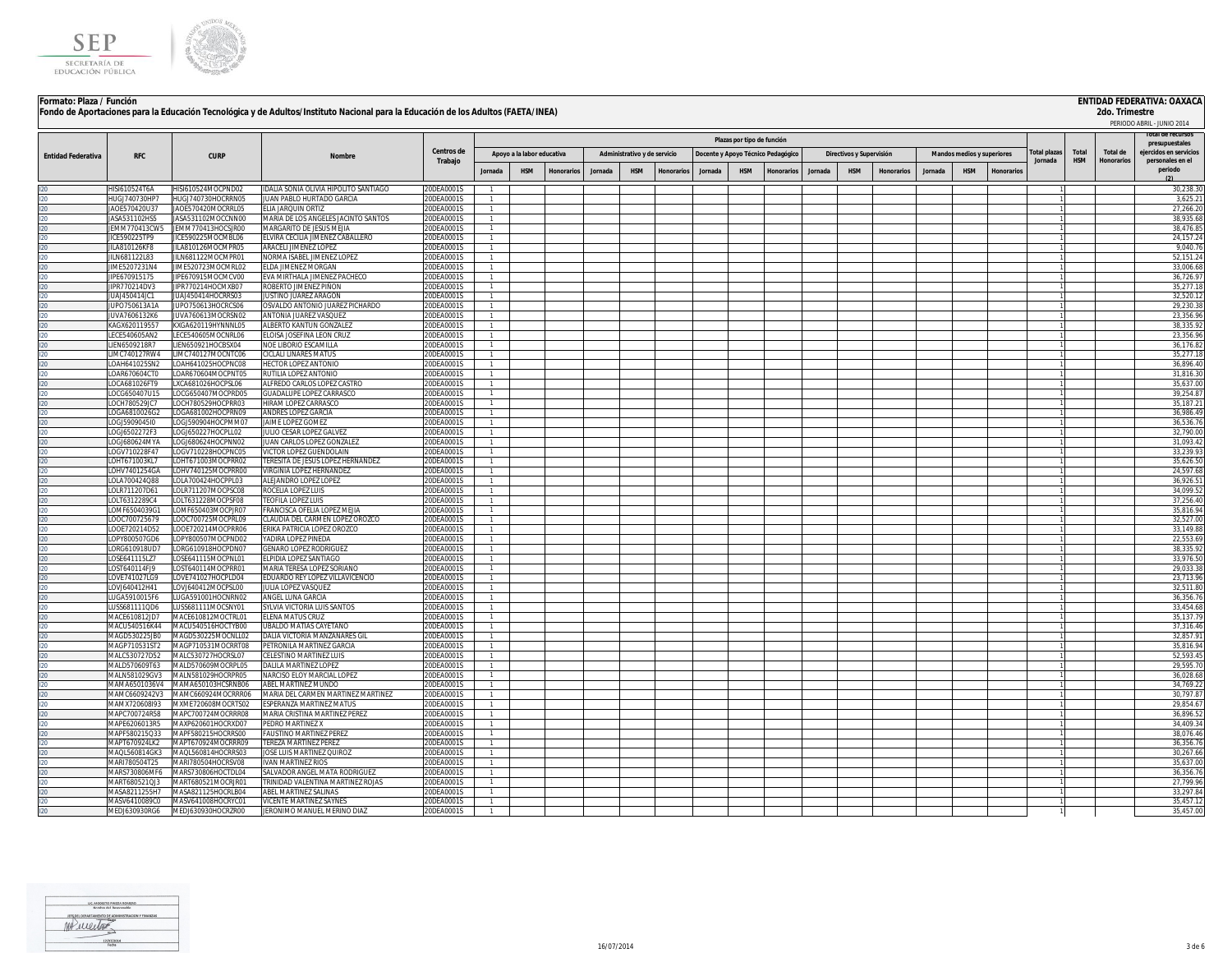



| Formato: Plaza / Función  |                                       |                                                 |                                                                                                                                   |                          |                                |                            |            |         |                              |                 |                                    |                            |                   |         |                          |                   |         |                            |           |             |                     |                   | <b>ENTIDAD FEDERATIVA: OAXACA</b> |
|---------------------------|---------------------------------------|-------------------------------------------------|-----------------------------------------------------------------------------------------------------------------------------------|--------------------------|--------------------------------|----------------------------|------------|---------|------------------------------|-----------------|------------------------------------|----------------------------|-------------------|---------|--------------------------|-------------------|---------|----------------------------|-----------|-------------|---------------------|-------------------|-----------------------------------|
|                           |                                       |                                                 | Fondo de Aportaciones para la Educación Tecnológica y de Adultos/Instituto Nacional para la Educación de los Adultos (FAETA/INEA) |                          |                                |                            |            |         |                              |                 |                                    |                            |                   |         |                          |                   |         |                            |           |             |                     | 2do. Trimestre    |                                   |
|                           |                                       |                                                 |                                                                                                                                   |                          |                                |                            |            |         |                              |                 |                                    |                            |                   |         |                          |                   |         |                            |           |             |                     |                   | PERIODO ABRIL - JUNIO 2014        |
|                           |                                       |                                                 |                                                                                                                                   |                          |                                |                            |            |         |                              |                 |                                    | Plazas por tipo de función |                   |         |                          |                   |         |                            |           |             |                     |                   | presupuestales                    |
| <b>Entidad Federativa</b> | <b>RFC</b>                            | <b>CURP</b>                                     | Nombre                                                                                                                            | Centros de               |                                | Apoyo a la labor educativa |            |         | Administrativo y de servicio |                 | Docente y Apoyo Técnico Pedagógico |                            |                   |         | Directivos y Supervisión |                   |         | Mandos medios y superiores |           | otal plazas | Total<br><b>HSM</b> | <b>Total de</b>   | eiercidos en servicio:            |
|                           |                                       |                                                 |                                                                                                                                   | Trabajo                  | lornada                        | <b>HSM</b>                 | Honorarios | Jornada | <b>HSM</b>                   | <b>Honorari</b> | Jornada                            | <b>HSM</b>                 | <b>Ionorarios</b> | Jornada | <b>HSM</b>               | <b>Honorarios</b> | Jornada | <b>HSM</b>                 | Honorario | Jornada     |                     | <b>Honorarios</b> | personales en el<br>periodo       |
|                           |                                       |                                                 |                                                                                                                                   |                          |                                |                            |            |         |                              |                 |                                    |                            |                   |         |                          |                   |         |                            |           |             |                     |                   |                                   |
| $20^{\circ}$              | HISI610524T6A                         | HISI610524MOCPND02                              | DALIA SONIA OLIVIA HIPOLITO SANTIAGO                                                                                              | 20DEA0001S               | $\mathbf{1}$                   |                            |            |         |                              |                 |                                    |                            |                   |         |                          |                   |         |                            |           |             |                     |                   | 30.238.30                         |
| 20                        | HUGJ740730HP7                         | HUGJ740730HOCRRN05                              | JUAN PABLO HURTADO GARCIA                                                                                                         | 20DEA0001S               | $\mathbf{1}$                   |                            |            |         |                              |                 |                                    |                            |                   |         |                          |                   |         |                            |           |             |                     |                   | 3,625.2                           |
| $20 -$<br>20.             | JA0E570420U37<br><b>IASA531102HS5</b> | JAOE570420MOCRRL05<br><b>IASA531102MOCCNN00</b> | ELIA JARQUIN ORTIZ<br>MARIA DE LOS ANGELES JACINTO SANTOS                                                                         | 20DEA0001S<br>20DEA0001S | $\mathbf{1}$<br>$\overline{1}$ |                            |            |         |                              |                 |                                    |                            |                   |         |                          |                   |         |                            |           |             |                     |                   | 27,266.20<br>38,935.6             |
| $20 -$                    | JEMM770413CW5                         | <b>IFMM770413HOCSIR00</b>                       | MARGARITO DE JESUS MEJIA                                                                                                          | 20DEA0001S               | $\mathbf{1}$                   |                            |            |         |                              |                 |                                    |                            |                   |         |                          |                   |         |                            |           |             |                     |                   | 38,476.8                          |
| $20 -$                    | JICE590225TP9                         | IICE590225MOCMBL06                              | ELVIRA CECILIA JIMENEZ CABALLERO                                                                                                  | 20DFA0001S               | 1                              |                            |            |         |                              |                 |                                    |                            |                   |         |                          |                   |         |                            |           |             |                     |                   | 24, 157.2                         |
|                           | JILA810126KF8                         | JILA810126MOCMPR05                              | ARACELI JIMENEZ LOPEZ                                                                                                             | 20DEA0001S               | $\mathbf{1}$                   |                            |            |         |                              |                 |                                    |                            |                   |         |                          |                   |         |                            |           |             |                     |                   | 9,040.7                           |
|                           | JILN681122L83                         | JILN681122MOCMPR01                              | NORMA ISABEL IIMENEZ LOPEZ                                                                                                        | 20DEA0001S               | $\mathbf{1}$                   |                            |            |         |                              |                 |                                    |                            |                   |         |                          |                   |         |                            |           |             |                     |                   | 52,151.2                          |
| 20.                       | JIME5207231N4                         | JIME520723MOCMRL02<br>IIPE670915MOCMCV00        | ELDA JIMENEZ MORGAN                                                                                                               | 20DEA0001S               | $\mathbf{1}$<br>$\overline{1}$ |                            |            |         |                              |                 |                                    |                            |                   |         |                          |                   |         |                            |           |             |                     |                   | 33,006.6<br>36,726.9              |
|                           | JIPE670915175<br>JIPR770214DV3        | JIPR770214HOCMXB07                              | EVA MIRTHALA JIMENEZ PACHECO<br>ROBERTO JIMENEZ PIÑON                                                                             | 20DEA0001S<br>20DEA0001S | $\mathbf{1}$                   |                            |            |         |                              |                 |                                    |                            |                   |         |                          |                   |         |                            |           |             |                     |                   | 35,277.1                          |
|                           | JUAJ450414JC1                         | JUAJ450414HOCRRS03                              | JUSTINO JUAREZ ARAGON                                                                                                             | 20DEA0001S               | $\mathbf{1}$                   |                            |            |         |                              |                 |                                    |                            |                   |         |                          |                   |         |                            |           |             |                     |                   | 32,520.1                          |
|                           | JUPO750613A1A                         | IUPO750613HOCRCS06                              | OSVALDO ANTONIO JUAREZ PICHARDO                                                                                                   | 20DEA0001S               |                                |                            |            |         |                              |                 |                                    |                            |                   |         |                          |                   |         |                            |           |             |                     |                   | 29,230.3                          |
|                           | JUVA7606132K6                         | IUVA760613MOCRSN02                              | ANTONIA JUAREZ VASQUEZ                                                                                                            | 20DEA0001S               | $\mathbf{1}$                   |                            |            |         |                              |                 |                                    |                            |                   |         |                          |                   |         |                            |           |             |                     |                   | 23.356.9                          |
|                           | KAGX620119551                         | XGA620119HYNNNL05                               | ALBERTO KANTUN GONZALE                                                                                                            | 20DEA0001S               |                                |                            |            |         |                              |                 |                                    |                            |                   |         |                          |                   |         |                            |           |             |                     |                   | 38,335.9                          |
|                           | LECE540605AN2<br>LIEN6509218R7        | ECE540605MOCNRL06<br>FN650921HOCBSX04           | FLOISA IOSEEINA LEON CRUZ<br>NOF LIBORIO ESCAMILLA                                                                                | 20DEA0001S<br>20DEA0001S |                                |                            |            |         |                              |                 |                                    |                            |                   |         |                          |                   |         |                            |           |             |                     |                   | 23,356.9<br>36,176.8              |
|                           | LIMC740127RW4                         | IMC740127MOCNTC0                                | CICLALLI INARES MATUS                                                                                                             | 20DEA0001S               |                                |                            |            |         |                              |                 |                                    |                            |                   |         |                          |                   |         |                            |           |             |                     |                   | 35,277.                           |
|                           | LOAH641025SN2                         | OAH641025HOCPNC0                                | HECTOR LOPEZ ANTONIC                                                                                                              | 0DEA0001S                |                                |                            |            |         |                              |                 |                                    |                            |                   |         |                          |                   |         |                            |           |             |                     |                   | 36,896.4                          |
|                           | LOAR670604CT0                         | OAR670604MOCPNT05                               | RUTILIA LOPEZ ANTONIO                                                                                                             | 20DEA0001S               |                                |                            |            |         |                              |                 |                                    |                            |                   |         |                          |                   |         |                            |           |             |                     |                   | 31.816.3                          |
|                           | LOCA681026FT9                         | KCA681026HOCPSL06                               | ALFREDO CARLOS LOPEZ CASTRO                                                                                                       | 0DEA0001S                |                                |                            |            |         |                              |                 |                                    |                            |                   |         |                          |                   |         |                            |           |             |                     |                   | 35,637.0                          |
|                           | LOCG650407U15<br>LOCH780529JC7        | OCG650407MOCPRD05<br>OCH780529HOCPRR03          | <b>GUADALUPE LOPEZ CARRASCO</b><br>HIRAM LOPEZ CARRASCO                                                                           | 20DEA0001S<br>20DEA0001S | $\mathbf{1}$                   |                            |            |         |                              |                 |                                    |                            |                   |         |                          |                   |         |                            |           |             |                     |                   | 39,254.8<br>35,187.2              |
| 20.                       | LOGA6810026G2                         | OGA681002HOCPRN09                               | <b>ANDRES LOPEZ GARCIA</b>                                                                                                        | 20DEA0001S               | $\overline{1}$                 |                            |            |         |                              |                 |                                    |                            |                   |         |                          |                   |         |                            |           |             |                     |                   | 36,986.4                          |
|                           | LOGJ5909045I0                         | OGJ590904HOCPMM07                               | JAIME LOPEZ GOMEZ                                                                                                                 | 20DEA0001S               | $\overline{1}$                 |                            |            |         |                              |                 |                                    |                            |                   |         |                          |                   |         |                            |           |             |                     |                   | 36.536.7                          |
|                           | LOGJ6502272F3                         | LOGJ650227HOCPLL02                              | JULIO CESAR LOPEZ GALVEZ                                                                                                          | 20DEA0001S               | $\mathbf{1}$                   |                            |            |         |                              |                 |                                    |                            |                   |         |                          |                   |         |                            |           |             |                     |                   | 32,790.0                          |
|                           | LOG1680624MYA                         | LOGJ680624HOCPNN02                              | JUAN CARLOS LOPEZ GONZALEZ                                                                                                        | 20DFA0001S               | $\overline{1}$                 |                            |            |         |                              |                 |                                    |                            |                   |         |                          |                   |         |                            |           |             |                     |                   | 31.093.4                          |
|                           | LOGV710228F47<br>LOHT671003KL7        | OGV710228HOCPNC05<br>OHT671003MOCPRR02          | VICTOR LOPEZ GUENDOLAIN<br>TERESITA DE JESUS LOPEZ HERNANDEZ                                                                      | 20DEA0001S<br>20DFA0001S | $\overline{1}$<br>1            |                            |            |         |                              |                 |                                    |                            |                   |         |                          |                   |         |                            |           |             |                     |                   | 33,239.9<br>35,626.5              |
|                           | LOHV7401254GA                         | OHV740125MOCPRR00                               | <b>VIRGINIA LOPEZ HERNANDEZ</b>                                                                                                   | 20DEA0001S               | 1                              |                            |            |         |                              |                 |                                    |                            |                   |         |                          |                   |         |                            |           |             |                     |                   | 24,597.6                          |
|                           | LOLA700424Q88                         | OLA700424HOCPPL03                               | ALEJANDRO LOPEZ LOPEZ                                                                                                             | 20DEA0001S               | $\mathbf{1}$                   |                            |            |         |                              |                 |                                    |                            |                   |         |                          |                   |         |                            |           |             |                     |                   | 36,926.5                          |
|                           | LOLR711207D61                         | .OLR711207MOCPSC08                              | ROCELIA LOPEZ LUIS                                                                                                                | 20DEA0001S               | $\mathbf{1}$                   |                            |            |         |                              |                 |                                    |                            |                   |         |                          |                   |         |                            |           |             |                     |                   | 34,099.5                          |
|                           | OLT6312289C4                          | OLT631228MOCPSF08                               | TEOFILA LOPEZ LUIS                                                                                                                | 20DEA0001S               | $\mathbf{1}$                   |                            |            |         |                              |                 |                                    |                            |                   |         |                          |                   |         |                            |           |             |                     |                   | 37,256.4                          |
|                           | OMF6504039G1<br>OOC700725679          | OMF650403MOCPJR07<br>OOC700725MOCPRL09          | FRANCISCA OFELIA LOPEZ MEJIA<br>CLAUDIA DEL CARMEN LOPEZ OROZCO                                                                   | 20DEA0001S<br>20DEA0001S |                                |                            |            |         |                              |                 |                                    |                            |                   |         |                          |                   |         |                            |           |             |                     |                   | 35,816.9<br>32,527.0              |
|                           | OOE720214D52                          | 00E720214MOCPRR06                               | ERIKA PATRICIA LOPEZ OROZCO                                                                                                       | 20DEA0001S               |                                |                            |            |         |                              |                 |                                    |                            |                   |         |                          |                   |         |                            |           |             |                     |                   | 33,149.8                          |
|                           | <b>JPY800507GD6</b>                   | OPY800507MOCPND02                               | YADIRA LOPEZ PINEDA                                                                                                               | 20DEA0001S               | $\mathbf{1}$                   |                            |            |         |                              |                 |                                    |                            |                   |         |                          |                   |         |                            |           |             |                     |                   | 22.553.6                          |
|                           | DRG610918UD7                          | ORG610918HOCPDN07                               | <b>GENARO LOPEZ RODRIGUEZ</b>                                                                                                     | 0DEA0001S                |                                |                            |            |         |                              |                 |                                    |                            |                   |         |                          |                   |         |                            |           |             |                     |                   | 38,335.9                          |
|                           | OSE641115L77                          | OSE641115MOCPNL01                               | <b>FLPIDIA LOPEZ SANTIAGO</b>                                                                                                     | 0DFA0001S                |                                |                            |            |         |                              |                 |                                    |                            |                   |         |                          |                   |         |                            |           |             |                     |                   | 33.976.5                          |
|                           | OST640114FJ9<br>OVE741027LG9          | OST640114MOCPRR01<br>OVE741027HOCPLD04          | MARIA TERESA LOPEZ SORIANO<br>EDUARDO REY LOPEZ VILLAVICENCIO                                                                     | 0DEA0001S<br>0DEA0001S   | $\mathbf{1}$                   |                            |            |         |                              |                 |                                    |                            |                   |         |                          |                   |         |                            |           |             |                     |                   | 29,033.3<br>23,713.9              |
|                           | OVJ640412H41                          | OVJ640412MOCPSL00                               | JULIA LOPEZ VASQUEZ                                                                                                               | 20DEA0001S               | $\mathbf{1}$                   |                            |            |         |                              |                 |                                    |                            |                   |         |                          |                   |         |                            |           |             |                     |                   | 32.511.8                          |
| הכ                        | UGA5910015F6                          | UGA591001HOCNRN02                               | ANGEL LUNA GARCIA                                                                                                                 | 20DEA0001S               | $\mathbf{1}$                   |                            |            |         |                              |                 |                                    |                            |                   |         |                          |                   |         |                            |           |             |                     |                   | 36.356.7                          |
| 20.                       | USS681111QD6                          | USS681111MOCSNY01                               | SYLVIA VICTORIA LUIS SANTOS                                                                                                       | 20DEA0001S               | $\mathbf{1}$                   |                            |            |         |                              |                 |                                    |                            |                   |         |                          |                   |         |                            |           |             |                     |                   | 33.454.6                          |
| 20.                       | MACE610812JD7                         | MACE610812MOCTRL01                              | ELENA MATUS CRUZ                                                                                                                  | 20DEA0001S               | $\mathbf{1}$                   |                            |            |         |                              |                 |                                    |                            |                   |         |                          |                   |         |                            |           |             |                     |                   | 35,137.7                          |
| $20 -$                    | MACU540516K44<br>MAGD530225JB0        | MACU540516HOCTYB00<br>MAGD530225MOCNLL02        | <b>UBALDO MATIAS CAYETANO</b><br>DALIA VICTORIA MANZANARES GL                                                                     | 20DEA0001S<br>0DFA0001S  | $\mathbf{1}$                   |                            |            |         |                              |                 |                                    |                            |                   |         |                          |                   |         |                            |           |             |                     |                   | 37.316.46<br>32,857.9             |
| 20.                       | MAGP710531ST2                         | MAGP710531MOCRRT08                              | PETRONILA MARTINEZ GARCIA                                                                                                         | 20DEA0001S               | $\overline{1}$<br>$\mathbf{1}$ |                            |            |         |                              |                 |                                    |                            |                   |         |                          |                   |         |                            |           |             |                     |                   | 35.816.9                          |
| 20.                       | MAI C530727D52                        | MAI C530727HOCRSL07                             | CELESTINO MARTINEZ LUIS                                                                                                           | 20DEA0001S               | $\mathbf{1}$                   |                            |            |         |                              |                 |                                    |                            |                   |         |                          |                   |         |                            |           |             |                     |                   | 52,593.4                          |
|                           | MAI D570609T63                        | MAI D570609MOCRPL05                             | DALILA MARTINEZ LOPEZ                                                                                                             | 20DEA0001S               | $\overline{1}$                 |                            |            |         |                              |                 |                                    |                            |                   |         |                          |                   |         |                            |           |             |                     |                   | 29,595.7                          |
|                           | MALN581029GV3                         | MALN581029HOCRPR05                              | NARCISO ELOY MARCIAL LOPEZ                                                                                                        | 20DEA0001S               | $\mathbf{1}$                   |                            |            |         |                              |                 |                                    |                            |                   |         |                          |                   |         |                            |           |             |                     |                   | 36,028.6                          |
|                           | MAMA6501036V4                         | MAMA650103HCSRNB06                              | ABEL MARTINEZ MUNDO                                                                                                               | 20DEA0001S               | $\mathbf{1}$                   |                            |            |         |                              |                 |                                    |                            |                   |         |                          |                   |         |                            |           |             |                     |                   | 34,769.2                          |
|                           | MAMC6609242V3<br>MAMX720608I93        | MAMC660924MOCRRR06<br>MXME720608MOCRTS02        | MARIA DEL CARMEN MARTINEZ MARTINEZ<br>ESPERANZA MARTINEZ MATUS                                                                    | 20DEA0001S<br>20DEA0001S | $\mathbf{1}$<br>$\mathbf{1}$   |                            |            |         |                              |                 |                                    |                            |                   |         |                          |                   |         |                            |           |             |                     |                   | 30,797.8<br>29,854.6              |
|                           | MAPC700724R58                         | MAPC700724MOCRRR08                              | MARIA CRISTINA MARTINEZ PEREZ                                                                                                     | 20DEA0001S               | $\mathbf{1}$                   |                            |            |         |                              |                 |                                    |                            |                   |         |                          |                   |         |                            |           |             |                     |                   | 36,896.5                          |
|                           | MAPE6206013R5                         | MAXP620601HOCRXD07                              | PEDRO MARTINEZ X                                                                                                                  | 20DEA0001S               | $\mathbf{1}$                   |                            |            |         |                              |                 |                                    |                            |                   |         |                          |                   |         |                            |           |             |                     |                   | 34,409.3                          |
|                           | MAPF580215Q33                         | MAPF580215HOCRRS00                              | <b>FAUSTINO MARTINEZ PEREZ</b>                                                                                                    | 20DEA0001S               | $\mathbf{1}$                   |                            |            |         |                              |                 |                                    |                            |                   |         |                          |                   |         |                            |           |             |                     |                   | 38,076.4                          |
|                           | MAPT670924LK2                         | MAPT670924MOCRRR09                              | TEREZA MARTINEZ PEREZ                                                                                                             | 20DEA0001S               | $\mathbf{1}$                   |                            |            |         |                              |                 |                                    |                            |                   |         |                          |                   |         |                            |           |             |                     |                   | 36,356.7                          |
|                           | MAQL560814GK3<br>MARI780504T25        | MAQL560814HOCRRS03<br>VIARI780504HOCRSV08       | JOSE LUIS MARTINEZ QUIROZ<br><b>IVAN MARTINEZ RIOS</b>                                                                            | 20DEA0001S<br>20DEA0001S | $\mathbf{1}$<br>$\mathbf{1}$   |                            |            |         |                              |                 |                                    |                            |                   |         |                          |                   |         |                            |           |             |                     |                   | 30,267.6<br>35,637.0              |
|                           | MARS730806MF6                         | MARS730806HOCTDL04                              | SALVADOR ANGEL MATA RODRIGUEZ                                                                                                     | 20DEA0001S               |                                |                            |            |         |                              |                 |                                    |                            |                   |         |                          |                   |         |                            |           |             |                     |                   | 36.356.7                          |
|                           | MART680521O13                         | <b>AART680521MOCRIR01</b>                       | TRINIDAD VALENTINA MARTINEZ ROJAS                                                                                                 | 20DEA0001S               |                                |                            |            |         |                              |                 |                                    |                            |                   |         |                          |                   |         |                            |           |             |                     |                   | 27,799.9                          |
|                           | MASA8211255H7                         | VIASA821125HOCRLB04                             | ABEL MARTINEZ SALINAS                                                                                                             | 20DEA0001S               |                                |                            |            |         |                              |                 |                                    |                            |                   |         |                          |                   |         |                            |           |             |                     |                   | 33.297.8                          |
|                           | MASV6410089C0                         | MASV641008HOCRYC01                              | <b>VICENTE MARTINEZ SAYNES</b>                                                                                                    | 0DEA0001S                |                                |                            |            |         |                              |                 |                                    |                            |                   |         |                          |                   |         |                            |           |             |                     |                   | 35,457.1                          |
|                           | MEDJ630930RG6                         | MEDJ630930HOCRZR00                              | JERONIMO MANUEL MERINO DIAZ                                                                                                       | 20DEA0001S               |                                |                            |            |         |                              |                 |                                    |                            |                   |         |                          |                   |         |                            |           |             |                     |                   | 35.457.00                         |

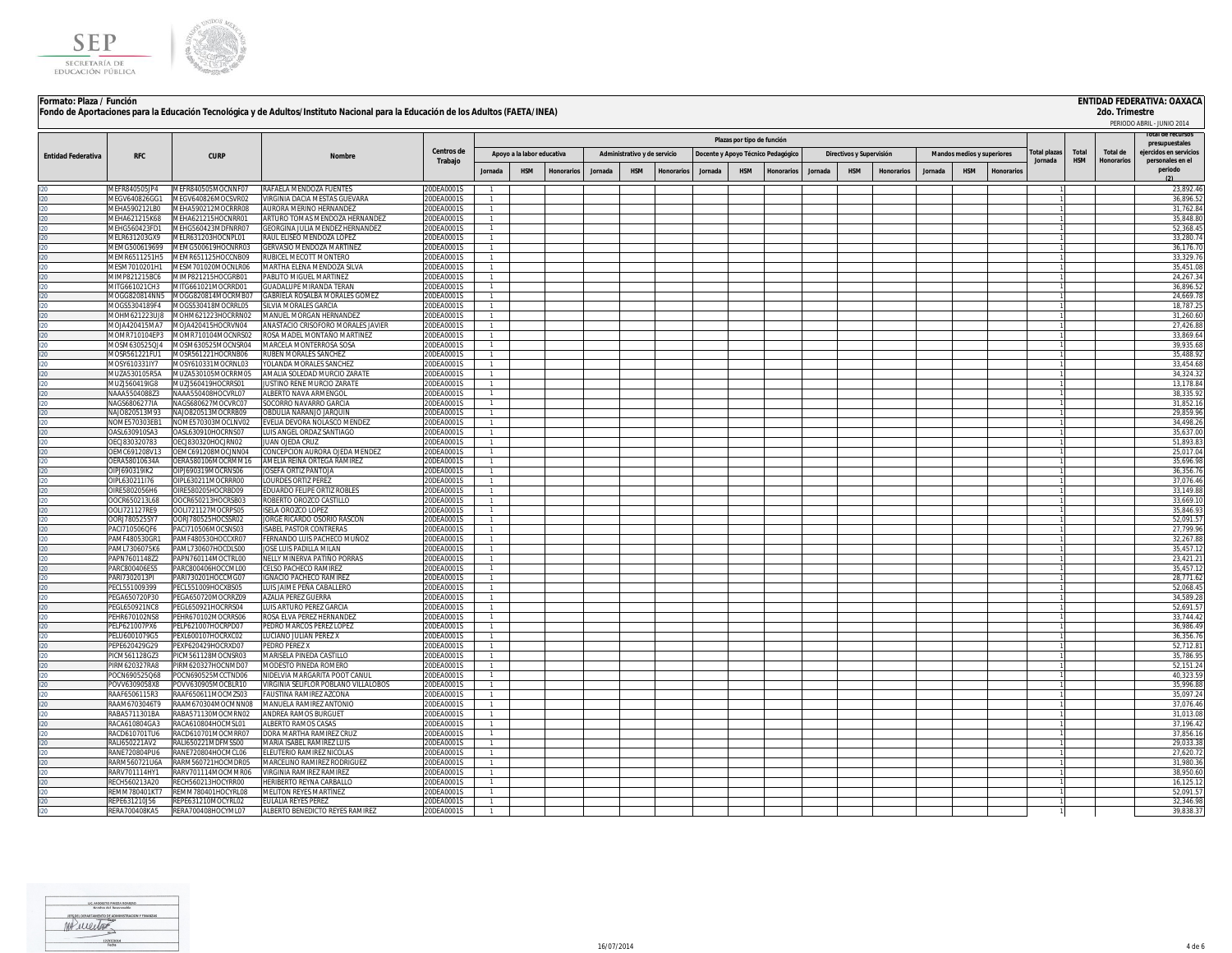



## **Formato: Plaza / Función ENTIDAD FEDERATIVA: OAXACA Fondo de Aportaciones para la Educación Tecnológica y de Adultos/Instituto Nacional para la Educación de los Adultos (FAETA/INEA)**

|                           |                                |                                           |                                                                   |                          |                              |                            |                   |         |                              |                   |                                    |                            |                   |         |                          |                   |         |                            |                  |                     |            |            | PERIODO ABRIL - JUNIO 2014               |
|---------------------------|--------------------------------|-------------------------------------------|-------------------------------------------------------------------|--------------------------|------------------------------|----------------------------|-------------------|---------|------------------------------|-------------------|------------------------------------|----------------------------|-------------------|---------|--------------------------|-------------------|---------|----------------------------|------------------|---------------------|------------|------------|------------------------------------------|
|                           |                                |                                           |                                                                   |                          |                              |                            |                   |         |                              |                   |                                    | Plazas por tipo de función |                   |         |                          |                   |         |                            |                  |                     |            |            | oral de recurso:                         |
|                           |                                |                                           |                                                                   | <b>Centros de</b>        |                              | Apoyo a la labor educativa |                   |         | Administrativo y de servicio |                   | Docente y Apoyo Técnico Pedagógico |                            |                   |         | Directivos y Supervisión |                   |         | Mandos medios y superiores |                  | <b>Total plazas</b> | Total      | Total de   | presupuestales<br>ejercidos en servicios |
| <b>Entidad Federativa</b> | <b>RFC</b>                     | <b>CURP</b>                               | Nombre                                                            | Trabajo                  |                              |                            |                   |         |                              |                   |                                    |                            |                   |         |                          |                   |         |                            |                  | Jornada             | <b>HSM</b> | Honorarios | personales en el                         |
|                           |                                |                                           |                                                                   |                          | lornada                      | <b>HSM</b>                 | <b>Honorarios</b> | Jornada | <b>HSM</b>                   | <b>Honorarios</b> | Jornada                            | <b>HSM</b>                 | <b>Honorarios</b> | lornada | <b>HSM</b>               | <b>Honorarios</b> | Jornada | <b>HSM</b>                 | <b>Honorario</b> |                     |            |            | periodo                                  |
|                           | MEFR840505JP4                  | MEFR840505MOCNNF07                        | RAFAELA MENDOZA FUENTES                                           | 20DEA0001S               |                              |                            |                   |         |                              |                   |                                    |                            |                   |         |                          |                   |         |                            |                  |                     |            |            | 23,892.46                                |
|                           | MEGV640826GG1                  | MEGV640826MOCSVR02                        | VIRGINIA DACIA MESTAS GUEVARA                                     | 20DEA0001S               |                              |                            |                   |         |                              |                   |                                    |                            |                   |         |                          |                   |         |                            |                  |                     |            |            | 36,896.5                                 |
|                           | <b>JEHA590212LBO</b>           | AEHA590212MOCRRR08                        | AURORA MERINO HERNANDEZ                                           | 20DEA0001S               | $\mathbf{1}$                 |                            |                   |         |                              |                   |                                    |                            |                   |         |                          |                   |         |                            |                  |                     |            |            | 31,762.8                                 |
|                           | IEHA621215K68<br>MEHG560423FD1 | MEHA621215HOCNRR01<br>MEHG560423MDFNRR07  | ARTURO TOMAS MENDOZA HERNANDEZ<br>GEORGINA JULIA MENDEZ HERNANDEZ | 20DEA0001S<br>20DEA0001S | $\mathbf{1}$                 |                            |                   |         |                              |                   |                                    |                            |                   |         |                          |                   |         |                            |                  |                     |            |            | 35,848.8<br>52.368.4                     |
|                           | MELR631203GX9                  | MELR631203HOCNPL01                        | RAUL ELISEO MENDOZA LOPEZ                                         | 20DEA0001S               | $\mathbf{1}$<br>$\mathbf{1}$ |                            |                   |         |                              |                   |                                    |                            |                   |         |                          |                   |         |                            |                  |                     |            |            | 33.280.7                                 |
|                           | MEMG500619699                  | MEMG500619HOCNRR03                        | <b>GERVASIO MENDOZA MARTINEZ</b>                                  | 20DEA0001S               | $\overline{1}$               |                            |                   |         |                              |                   |                                    |                            |                   |         |                          |                   |         |                            |                  |                     |            |            | 36.176.7                                 |
|                           | MEMR6511251H5                  | MEMR651125HOCCNB09                        | RUBICEL MECOTT MONTERO                                            | 20DEA0001S               | 1                            |                            |                   |         |                              |                   |                                    |                            |                   |         |                          |                   |         |                            |                  |                     |            |            | 33,329.7                                 |
|                           | MESM7010201H1                  | MESM701020MOCNLR06                        | MARTHA ELENA MENDOZA SILVA                                        | 20DEA0001S               | $\mathbf{1}$                 |                            |                   |         |                              |                   |                                    |                            |                   |         |                          |                   |         |                            |                  |                     |            |            | 35,451.08                                |
|                           | MIMP821215BC6                  | MIMP821215HOCGRB01                        | PABLITO MIGUEL MARTINEZ                                           | 20DEA0001S               | $\mathbf{1}$                 |                            |                   |         |                              |                   |                                    |                            |                   |         |                          |                   |         |                            |                  |                     |            |            | 24,267.3                                 |
| $20 -$                    | MITG661021CH3                  | MITG661021MOCRRD01                        | <b>GUADALUPE MIRANDA TERAN</b>                                    | 20DEA0001S               | $\mathbf{1}$                 |                            |                   |         |                              |                   |                                    |                            |                   |         |                          |                   |         |                            |                  |                     |            |            | 36,896.5<br>24,669.7                     |
| $20 -$                    | MOGG820814NN5<br>MOGS5304189F4 | MOGG820814MOCRMB07<br>MOGS530418MOCRRL05  | GABRIELA ROSALBA MORALES GOMEZ<br>SILVIA MORALES GARCIA           | 20DEA0001S<br>20DEA0001S | $\mathbf{1}$                 |                            |                   |         |                              |                   |                                    |                            |                   |         |                          |                   |         |                            |                  |                     |            |            | 18,787.2                                 |
|                           | MOHM621223UJ8                  | MOHM621223HOCRRN02                        | MANUEL MORGAN HERNANDEZ                                           | 20DEA0001S               | $\overline{1}$               |                            |                   |         |                              |                   |                                    |                            |                   |         |                          |                   |         |                            |                  |                     |            |            | 31,260.6                                 |
|                           | MOJA420415MA7                  | MOJA420415HOCRVN04                        | ANASTACIO CRISOFORO MORALES JAVIER                                | 20DEA0001S               | $\mathbf{1}$                 |                            |                   |         |                              |                   |                                    |                            |                   |         |                          |                   |         |                            |                  |                     |            |            | 27,426.8                                 |
|                           | MOMR710104EP3                  | MOMR710104MOCNRS02                        | ROSA MADEL MONTAÑO MARTINEZ                                       | 20DEA0001S               | 1                            |                            |                   |         |                              |                   |                                    |                            |                   |         |                          |                   |         |                            |                  |                     |            |            | 33,869.64                                |
|                           | MOSM630525QJ4                  | MOSM630525MOCNSR04                        | MARCELA MONTERROSA SOSA                                           | 20DEA0001S               |                              |                            |                   |         |                              |                   |                                    |                            |                   |         |                          |                   |         |                            |                  |                     |            |            | 39,935.6                                 |
|                           | MOSR561221FU1                  | MOSR561221HOCRNB06                        | RUBEN MORALES SANCHEZ                                             | 20DEA0001S               |                              |                            |                   |         |                              |                   |                                    |                            |                   |         |                          |                   |         |                            |                  |                     |            |            | 35,488.9                                 |
|                           | AOSY610331IY7<br>MUZA530105R5A | VIOSY610331MOCRNL03<br>MUZA530105MOCRRM05 | YOLANDA MORALES SANCHEZ<br>AMALIA SOLEDAD MURCIO ZARATE           | 20DEA0001S<br>20DEA0001S | $\mathbf{1}$<br>-1.          |                            |                   |         |                              |                   |                                    |                            |                   |         |                          |                   |         |                            |                  |                     |            |            | 33,454.6<br>34,324.32                    |
|                           | MUZJ560419IG8                  | MUZJ560419HOCRRS01                        | JUSTINO RENE MURCIO ZARATE                                        | 20DEA0001S               | $\mathbf{1}$                 |                            |                   |         |                              |                   |                                    |                            |                   |         |                          |                   |         |                            |                  |                     |            |            | 13,178.84                                |
| $20 -$                    | NAAA5504088Z3                  | NAAA550408HOCVRL07                        | ALBERTO NAVA ARMENGOL                                             | 20DEA0001S               | $\overline{1}$               |                            |                   |         |                              |                   |                                    |                            |                   |         |                          |                   |         |                            |                  |                     |            |            | 38,335.9                                 |
|                           | NAGS6806277IA                  | NAGS680627MOCVRC07                        | SOCORRO NAVARRO GARCIA                                            | 20DEA0001S               | $\mathbf{1}$                 |                            |                   |         |                              |                   |                                    |                            |                   |         |                          |                   |         |                            |                  |                     |            |            | 31,852.1                                 |
| $20 -$                    | NAJ0820513M93                  | NAJO820513MOCRRB09                        | OBDULIA NARANJO JARQUIN                                           | 20DEA0001S               | $\mathbf{1}$                 |                            |                   |         |                              |                   |                                    |                            |                   |         |                          |                   |         |                            |                  |                     |            |            | 29,859.96                                |
|                           | NOME570303EB1                  | NOME570303MOCLNV02                        | EVELIA DEVORA NOLASCO MENDEZ                                      | 20DEA0001S               |                              |                            |                   |         |                              |                   |                                    |                            |                   |         |                          |                   |         |                            |                  |                     |            |            | 34.498.2                                 |
|                           | OASL630910SA3<br>OECJ830320783 | DASL630910HOCRNS07<br>DEC1830320HOC1RN02  | LUIS ANGEL ORDAZ SANTIAGO<br>JUAN OJEDA CRUZ                      | 20DEA0001S<br>20DEA0001S |                              |                            |                   |         |                              |                   |                                    |                            |                   |         |                          |                   |         |                            |                  |                     |            |            | 35,637.0<br>51,893.8                     |
|                           | OEMC691208V13                  | DEMC691208MOCJNN04                        | CONCEPCION AURORA OJEDA MENDEZ                                    | 20DEA0001S               |                              |                            |                   |         |                              |                   |                                    |                            |                   |         |                          |                   |         |                            |                  |                     |            |            | 25,017.0                                 |
|                           | OERA58010634A                  | DERA580106MOCRMM16                        | AMELIA REINA ORTEGA RAMIREZ                                       | 20DEA0001S               | $\mathbf{1}$                 |                            |                   |         |                              |                   |                                    |                            |                   |         |                          |                   |         |                            |                  |                     |            |            | 35,696.9                                 |
|                           | OIP1690319IK2                  | OIPJ690319MOCRNS06                        | <b>IOSEFA ORTIZ PANTOJA</b>                                       | 20DEA0001S               | $\overline{1}$               |                            |                   |         |                              |                   |                                    |                            |                   |         |                          |                   |         |                            |                  |                     |            |            | 36.356.7                                 |
|                           | OIPL630211I76                  | OIPL630211MOCRRR00                        | <b>LOURDES ORTIZ PEREZ</b>                                        | 20DEA0001S               | $\overline{1}$               |                            |                   |         |                              |                   |                                    |                            |                   |         |                          |                   |         |                            |                  |                     |            |            | 37,076.46                                |
|                           | OIRE5802056H6                  | DIRE580205HOCRBD09                        | EDUARDO FELIPE ORTIZ ROBLES                                       | 20DEA0001S               | $\mathbf{1}$                 |                            |                   |         |                              |                   |                                    |                            |                   |         |                          |                   |         |                            |                  |                     |            |            | 33,149.8                                 |
|                           | DOCR650213L68                  | DOCR650213HOCRSB03                        | ROBERTO OROZCO CASTILLO                                           | 0DFA0001S                | $\mathbf{1}$<br>$\mathbf{1}$ |                            |                   |         |                              |                   |                                    |                            |                   |         |                          |                   |         |                            |                  |                     |            |            | 33.669.1<br>35,846.9                     |
|                           | OOLI721127RE9<br>ORJ780525SY7  | OOLI721127MOCRPS05<br>OORJ780525HOCSSR02  | <b>ISELA OROZCO LOPEZ</b><br>JORGE RICARDO OSORIO RASCON          | 20DEA0001S<br>20DEA0001S | $\mathbf{1}$                 |                            |                   |         |                              |                   |                                    |                            |                   |         |                          |                   |         |                            |                  |                     |            |            | 52,091.5                                 |
|                           | PACI710506QF6                  | PACI710506MOCSNS03                        | <b>ISABEL PASTOR CONTRERAS</b>                                    | 20DEA0001S               | $\mathbf{1}$                 |                            |                   |         |                              |                   |                                    |                            |                   |         |                          |                   |         |                            |                  |                     |            |            | 27.799.96                                |
|                           | PAMF480530GR1                  | PAMF480530HOCCXR07                        | FERNANDO LUIS PACHECO MUÑOZ                                       | 20DEA0001S               | $\mathbf{1}$                 |                            |                   |         |                              |                   |                                    |                            |                   |         |                          |                   |         |                            |                  |                     |            |            | 32,267.8                                 |
|                           | PAMI 7306075K6                 | PAML730607HOCDLS00                        | JOSE LUIS PADILLA MILAN                                           | 20DEA0001S               | $\mathbf{1}$                 |                            |                   |         |                              |                   |                                    |                            |                   |         |                          |                   |         |                            |                  |                     |            |            | 35,457.1                                 |
|                           | PAPN7601148Z2                  | APN760114MOCTRL00                         | NELLY MINERVA PATIÑO PORRAS                                       | 20DEA0001S               | $\mathbf{1}$                 |                            |                   |         |                              |                   |                                    |                            |                   |         |                          |                   |         |                            |                  |                     |            |            | 23,421.2                                 |
|                           | PARC800406ES5<br>PARI7302013PI | PARC800406HOCCML00<br>PARI730201HOCCMG07  | CELSO PACHECO RAMIREZ<br><b>GNACIO PACHECO RAMIREZ</b>            | 20DEA0001S<br>0DFA0001S  | $\mathbf{1}$                 |                            |                   |         |                              |                   |                                    |                            |                   |         |                          |                   |         |                            |                  |                     |            |            | 35,457.1<br>28.771.6                     |
|                           | PECL551009399                  | PECL551009HOCXBS05                        | LUIS JAIME PEÑA CABALLERO                                         | 20DEA0001S               |                              |                            |                   |         |                              |                   |                                    |                            |                   |         |                          |                   |         |                            |                  |                     |            |            | 52,068.4                                 |
|                           | PEGA650720P30                  | PEGA650720MOCRRZ09                        | <b>AZALIA PEREZ GUERRA</b>                                        | 20DEA0001S               |                              |                            |                   |         |                              |                   |                                    |                            |                   |         |                          |                   |         |                            |                  |                     |            |            | 34,589.2                                 |
|                           | PEGL650921NC8                  | PEGL650921HOCRRS04                        | LUIS ARTURO PEREZ GARCIA                                          | 20DEA0001S               |                              |                            |                   |         |                              |                   |                                    |                            |                   |         |                          |                   |         |                            |                  |                     |            |            | 52,691.5                                 |
|                           | PEHR670102NS8                  | PEHR670102MOCRRS06                        | ROSA ELVA PEREZ HERNANDEZ                                         | 20DEA0001S               | $\mathbf{1}$                 |                            |                   |         |                              |                   |                                    |                            |                   |         |                          |                   |         |                            |                  |                     |            |            | 33,744.4                                 |
|                           | PELP621007PX6                  | PELP621007HOCRPD07                        | PEDRO MARCOS PEREZ LOPEZ                                          | 20DEA0001S               |                              |                            |                   |         |                              |                   |                                    |                            |                   |         |                          |                   |         |                            |                  |                     |            |            | 36,986.4                                 |
|                           | PELU6001079G5<br>PEPE620429G29 | PEXL600107HOCRXC02                        | LUCIANO JULIAN PEREZ X<br>PEDRO PEREZ X                           | 20DEA0001S               |                              |                            |                   |         |                              |                   |                                    |                            |                   |         |                          |                   |         |                            |                  |                     |            |            | 36,356.7                                 |
|                           | PICM561128GZ3                  | EXP620429HOCRXD07<br>ICM561128MOCNSR03    | MARISELA PINEDA CASTILLO                                          | 20DEA0001S<br>20DEA0001S | $\mathbf{1}$                 |                            |                   |         |                              |                   |                                    |                            |                   |         |                          |                   |         |                            |                  |                     |            |            | 52,712.8<br>35,786.9                     |
|                           | IRM620327RA8                   | IRM620327HOCNMD07                         | MODESTO PINEDA ROMERO                                             | 20DEA0001S               | $\mathbf{1}$                 |                            |                   |         |                              |                   |                                    |                            |                   |         |                          |                   |         |                            |                  |                     |            |            | 52,151.24                                |
|                           | POCN690525Q68                  | OCN690525MCCTND06                         | NIDELVIA MARGARITA POOT CANUL                                     | 20DEA0001S               | $\mathbf{1}$                 |                            |                   |         |                              |                   |                                    |                            |                   |         |                          |                   |         |                            |                  |                     |            |            | 40,323.59                                |
| 20.                       | POVV6309058X8                  | OVV630905MOCBLR10                         | VIRGINIA SELIFLOR POBLANO VILLALOBOS                              | 20DEA0001S               | 1                            |                            |                   |         |                              |                   |                                    |                            |                   |         |                          |                   |         |                            |                  |                     |            |            | 35,996.88                                |
|                           | RAAF6506115R3                  | RAAF650611MOCM7S03                        | FAUSTINA RAMIREZ AZCONA                                           | 20DEA0001S               | $\mathbf{1}$                 |                            |                   |         |                              |                   |                                    |                            |                   |         |                          |                   |         |                            |                  |                     |            |            | 35,097.24                                |
| $20 -$                    | RAAM6703046T9<br>RABA5711301BA | RAAM670304MOCMNN08<br>RABA571130MOCMRN02  | MANUELA RAMIREZ ANTONIO                                           | 20DEA0001S               | $\mathbf{1}$                 |                            |                   |         |                              |                   |                                    |                            |                   |         |                          |                   |         |                            |                  |                     |            |            | 37,076.46                                |
|                           | RACA610804GA3                  | RACA610804HOCMSL01                        | ANDREA RAMOS BURGUET<br>ALBERTO RAMOS CASAS                       | 20DEA0001S<br>20DEA0001S | $\mathbf{1}$                 |                            |                   |         |                              |                   |                                    |                            |                   |         |                          |                   |         |                            |                  |                     |            |            | 31,013.08<br>37,196.4                    |
|                           | RACD610701TU6                  | RACD610701MOCMRR07                        | DORA MARTHA RAMIREZ CRUZ                                          | 20DEA0001S               |                              |                            |                   |         |                              |                   |                                    |                            |                   |         |                          |                   |         |                            |                  |                     |            |            | 37.856.1                                 |
|                           | RALI650221AV2                  | RALI650221MDFMSS00                        | MARIA ISABEL RAMIREZ LUIS                                         | 20DEA0001S               |                              |                            |                   |         |                              |                   |                                    |                            |                   |         |                          |                   |         |                            |                  |                     |            |            | 29,033.3                                 |
| $20 -$                    | RANE720804PU6                  | RANE720804HOCMCL06                        | ELEUTERIO RAMIREZ NICOLAS                                         | 20DEA0001S               | $\overline{1}$               |                            |                   |         |                              |                   |                                    |                            |                   |         |                          |                   |         |                            |                  |                     |            |            | 27,620.7                                 |
|                           | RARM560721U6A                  | RARM560721HOCMDR05                        | MARCELINO RAMIREZ RODRIGUEZ                                       | 20DEA0001S               | $\overline{1}$               |                            |                   |         |                              |                   |                                    |                            |                   |         |                          |                   |         |                            |                  |                     |            |            | 31,980.3                                 |
|                           | RARV701114HY1                  | RARV701114MOCMMR06                        | VIRGINIA RAMIREZ RAMIREZ                                          | 20DEA0001S               | $\overline{1}$               |                            |                   |         |                              |                   |                                    |                            |                   |         |                          |                   |         |                            |                  |                     |            |            | 38,950.60                                |
|                           | RECH560213A20<br>REMM780401KT7 | RECH560213HOCYRR00<br>REMM780401HOCYRL08  | HERIBERTO REYNA CARBALLO<br><b>MELITON REYES MARTÍNEZ</b>         | 20DEA0001S<br>20DEA0001S | $\mathbf{1}$                 |                            |                   |         |                              |                   |                                    |                            |                   |         |                          |                   |         |                            |                  |                     |            |            | 16,125.1<br>52,091.5                     |
|                           | REPE631210156                  | REPE631210MOCYRL02                        | FULALIA REYES PEREZ                                               | 0DFA0001S                |                              |                            |                   |         |                              |                   |                                    |                            |                   |         |                          |                   |         |                            |                  |                     |            |            | 32.346.9                                 |
|                           | RERA700408KA5                  | RERA700408HOCYML07                        | ALBERTO BENEDICTO REYES RAMIREZ                                   | 20DEA0001S               |                              |                            |                   |         |                              |                   |                                    |                            |                   |         |                          |                   |         |                            |                  |                     |            |            | 39.838.37                                |

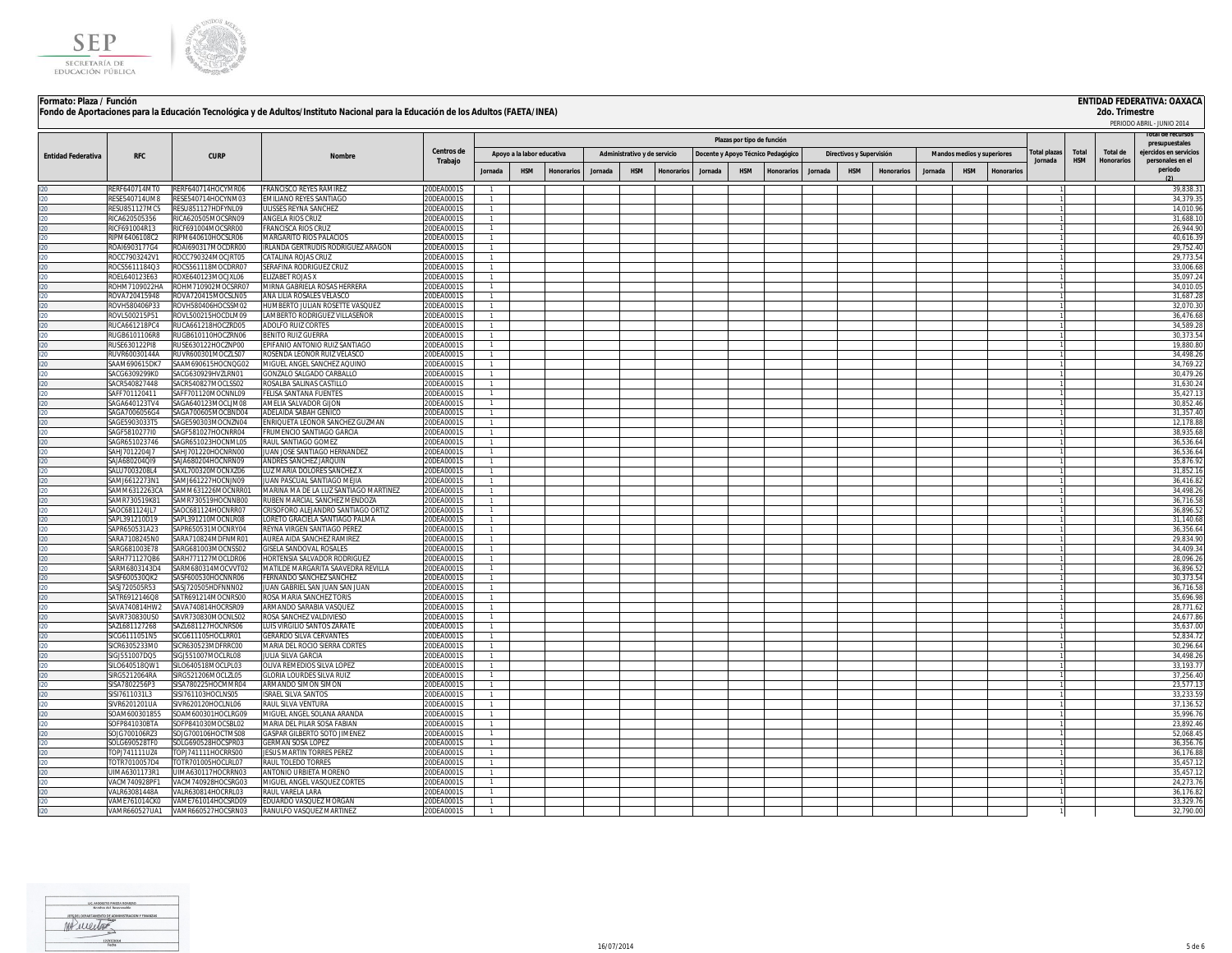



| Formato: Plaza / Función  |                                |                                          | Fondo de Aportaciones para la Educación Tecnológica y de Adultos/Instituto Nacional para la Educación de los Adultos (FAETA/INEA) |                                |                                |                            |                   |         |                              |           |                                    |                            |                   |         |                          |                   |         |                            |           |             |            | 2do. Trimestre | <b>ENTIDAD FEDERATIVA: OAXACA</b>        |
|---------------------------|--------------------------------|------------------------------------------|-----------------------------------------------------------------------------------------------------------------------------------|--------------------------------|--------------------------------|----------------------------|-------------------|---------|------------------------------|-----------|------------------------------------|----------------------------|-------------------|---------|--------------------------|-------------------|---------|----------------------------|-----------|-------------|------------|----------------|------------------------------------------|
|                           |                                |                                          |                                                                                                                                   |                                |                                |                            |                   |         |                              |           |                                    |                            |                   |         |                          |                   |         |                            |           |             |            |                | PERIODO ABRIL - JUNIO 2014               |
|                           |                                |                                          |                                                                                                                                   |                                |                                |                            |                   |         |                              |           |                                    | Plazas por tipo de función |                   |         |                          |                   |         |                            |           |             |            |                |                                          |
|                           |                                |                                          |                                                                                                                                   | Centros de                     |                                |                            |                   |         |                              |           |                                    |                            |                   |         |                          |                   |         |                            |           | otal plazas | Total      | Total de       | presupuestales<br>ejercidos en servicios |
| <b>Entidad Federativa</b> | <b>RFC</b>                     | <b>CURP</b>                              | Nombre                                                                                                                            | Trabajo                        |                                | Apoyo a la labor educativa |                   |         | Administrativo y de servicio |           | Docente y Apoyo Técnico Pedagógico |                            |                   |         | Directivos y Supervisión |                   |         | Mandos medios y superiores |           | Jornada     | <b>HSM</b> | Honorarios     | personales en el                         |
|                           |                                |                                          |                                                                                                                                   |                                | Jornada                        | <b>HSM</b>                 | <b>Honorarios</b> | Jornada | <b>HSM</b>                   | Honorario | Jornada                            | <b>HSM</b>                 | <b>Honorarios</b> | lornada | <b>HSM</b>               | <b>Honorarios</b> | Jornada | <b>HSM</b>                 | Honorario |             |            |                | periodo                                  |
|                           | <b>RERF640714MT0</b>           | RERF640714HOCYMR06                       | FRANCISCO REYES RAMIREZ                                                                                                           | 20DEA0001S                     |                                |                            |                   |         |                              |           |                                    |                            |                   |         |                          |                   |         |                            |           |             |            |                | 39,838.3                                 |
|                           | RESE540714UM8                  | ESE540714HOCYNM03                        | EMILIANO REYES SANTIAGO                                                                                                           | 20DEA0001S                     | $\mathbf{1}$                   |                            |                   |         |                              |           |                                    |                            |                   |         |                          |                   |         |                            |           |             |            |                | 34,379.3                                 |
|                           | RESU851127MC5                  | RESU851127HDFYNL09                       | ULISSES REYNA SANCHEZ                                                                                                             | 20DEA0001S                     | $\mathbf{1}$                   |                            |                   |         |                              |           |                                    |                            |                   |         |                          |                   |         |                            |           |             |            |                | 14.010.96                                |
|                           | ICA620505356                   | ICA620505MOCSRN09                        | ANGELA RIOS CRUZ                                                                                                                  | 20DEA0001S                     | $\mathbf{1}$                   |                            |                   |         |                              |           |                                    |                            |                   |         |                          |                   |         |                            |           |             |            |                | 31,688.1                                 |
|                           | RICF691004R13<br>RIPM6406108C2 | RICF691004MOCSRR00<br>RIPM640610HOCSLR06 | <b>FRANCISCA RIOS CRUZ</b><br>MARGARITO RIOS PALACIOS                                                                             | 20DEA0001S<br>20DEA0001S       | $\mathbf{1}$<br>$\mathbf{1}$   |                            |                   |         |                              |           |                                    |                            |                   |         |                          |                   |         |                            |           |             |            |                | 26.944.90                                |
| 20<br>$20 -$              | ROAI6903177G4                  | ROAI690317MOCDRR00                       | RLANDA GERTRUDIS RODRIGUEZ ARAGON                                                                                                 | 20DEA0001S                     | $\mathbf{1}$                   |                            |                   |         |                              |           |                                    |                            |                   |         |                          |                   |         |                            |           |             |            |                | 40,616.3<br>29.752.4                     |
| 20.                       | ROCC7903242V1                  | ROCC790324MOCJRT05                       | CATALINA ROJAS CRUZ                                                                                                               | 20DEA0001S                     | $\mathbf{1}$                   |                            |                   |         |                              |           |                                    |                            |                   |         |                          |                   |         |                            |           |             |            |                | 29,773.5                                 |
| $20 -$                    | ROCS5611184Q3                  | !OCS561118MOCDRR07                       | SERAFINA RODRIGUEZ CRUZ                                                                                                           | 20DEA0001S                     | $\mathbf{1}$                   |                            |                   |         |                              |           |                                    |                            |                   |         |                          |                   |         |                            |           |             |            |                | 33,006.6                                 |
| 20.                       | ROEL640123E63                  | ROXE640123MOCJXL06                       | <b>ELIZABET ROJAS X</b>                                                                                                           | 20DEA0001S                     | $\mathbf{1}$                   |                            |                   |         |                              |           |                                    |                            |                   |         |                          |                   |         |                            |           |             |            |                | 35,097.2                                 |
| $20 -$                    | ROHM7109022HA                  | ROHM710902MOCSRR07                       | MIRNA GABRIELA ROSAS HERRERA                                                                                                      | 20DEA0001S                     | $\mathbf{1}$                   |                            |                   |         |                              |           |                                    |                            |                   |         |                          |                   |         |                            |           |             |            |                | 34,010.0                                 |
| 20.<br>$20 -$             | ROVA720415948<br>ROVH580406P33 | OVA720415MOCSLN05<br>ROVH580406HOCSSM02  | ANA LILIA ROSALES VELASCO<br>HUMBERTO JULIAN ROSETTE VASQUEZ                                                                      | 20DEA0001S<br>20DEA0001S       | $\mathbf{1}$<br>$\mathbf{1}$   |                            |                   |         |                              |           |                                    |                            |                   |         |                          |                   |         |                            |           |             |            |                | 31,687.2<br>32,070.3                     |
|                           | ROVL500215P51                  | ROVL500215HOCDLM09                       | LAMBERTO RODRIGUEZ VILLASEÑOR                                                                                                     | 20DEA0001S                     | $\mathbf{1}$                   |                            |                   |         |                              |           |                                    |                            |                   |         |                          |                   |         |                            |           |             |            |                | 36,476.6                                 |
|                           | RUCA661218PC4                  | RUCA661218HOCZRD05                       | ADOLEO RUIZ CORTES                                                                                                                | 0DFA0001S                      | $\mathbf{1}$                   |                            |                   |         |                              |           |                                    |                            |                   |         |                          |                   |         |                            |           |             |            |                | 34,589.2                                 |
| הכ                        | RUGB6101106R8                  | <b>RUGB610110HOCZRN06</b>                | <b>RENITO RUIZ GUERRA</b>                                                                                                         | 20DEA0001S                     | $\overline{1}$                 |                            |                   |         |                              |           |                                    |                            |                   |         |                          |                   |         |                            |           |             |            |                | 30,373.5                                 |
|                           | RUSE630122PI8                  | RUSE630122HOCZNP00                       | EPIFANIO ANTONIO RUIZ SANTIAGO                                                                                                    | 20DEA0001S                     | $\mathbf{1}$                   |                            |                   |         |                              |           |                                    |                            |                   |         |                          |                   |         |                            |           |             |            |                | 19,880.8                                 |
|                           | RUVR60030144A                  | RUVR600301MOCZLS07                       | ROSENDA LEONOR RUIZ VELASCO                                                                                                       | 20DEA0001S                     | $\mathbf{1}$                   |                            |                   |         |                              |           |                                    |                            |                   |         |                          |                   |         |                            |           |             |            |                | 34,498.2                                 |
|                           | SAAM690615DK7<br>SACG6309299K0 | SAAM690615HOCNOG02<br>SACG630929HVZLRN01 | MIGUEL ANGEL SANCHEZ AQUINO<br>GONZALO SALGADO CARBALLO                                                                           | 20DEA0001S<br>20DEA0001S       | $\overline{1}$<br>$\mathbf{1}$ |                            |                   |         |                              |           |                                    |                            |                   |         |                          |                   |         |                            |           |             |            |                | 34,769.2<br>30,479.2                     |
|                           | SACR540827448                  | SACR540827MOCLSS02                       | ROSALBA SALINAS CASTILLO                                                                                                          | 20DEA0001S                     | $\mathbf{1}$                   |                            |                   |         |                              |           |                                    |                            |                   |         |                          |                   |         |                            |           |             |            |                | 31,630.2                                 |
|                           | SAFF701120411                  | SAFF701120MOCNNL09                       | FELISA SANTANA FUENTES                                                                                                            | 20DEA0001S                     | $\mathbf{1}$                   |                            |                   |         |                              |           |                                    |                            |                   |         |                          |                   |         |                            |           |             |            |                | 35,427.1                                 |
|                           | SAGA640123TV4                  | SAGA640123MOCLIM08                       | AMELIA SALVADOR GIJON                                                                                                             | 20DEA0001S                     | $\mathbf{1}$                   |                            |                   |         |                              |           |                                    |                            |                   |         |                          |                   |         |                            |           |             |            |                | 30,852.4                                 |
|                           | SAGA7006056G4                  | SAGA700605MOCBND04                       | ADELAIDA SABAH GENICO                                                                                                             | 20DEA0001S                     | $\mathbf{1}$                   |                            |                   |         |                              |           |                                    |                            |                   |         |                          |                   |         |                            |           |             |            |                | 31,357.40                                |
|                           | SAGE5903033T5                  | SAGE590303MOCNZN04                       | ENRIQUETA LEONOR SANCHEZ GUZMAN                                                                                                   | 20DEA0001S                     | 1                              |                            |                   |         |                              |           |                                    |                            |                   |         |                          |                   |         |                            |           |             |            |                | 12,178.8                                 |
|                           | SAGF5810277I0<br>SAGR651023746 | SAGF581027HOCNRR04<br>SAGR651023HOCNML05 | FRUMENCIO SANTIAGO GARCIA<br>RAUL SANTIAGO GOMEZ                                                                                  | 20DEA0001S<br>20DEA0001S       | $\mathbf{1}$<br>$\mathbf{1}$   |                            |                   |         |                              |           |                                    |                            |                   |         |                          |                   |         |                            |           |             |            |                | 38,935.6<br>36,536.6                     |
|                           | SAHJ7012204J7                  | SAHJ701220HOCNRN00                       | JUAN JOSE SANTIAGO HERNANDEZ                                                                                                      | 20DEA0001S                     | $\mathbf{1}$                   |                            |                   |         |                              |           |                                    |                            |                   |         |                          |                   |         |                            |           |             |            |                | 36,536.6                                 |
|                           | SAJA680204QI9                  | SAJA680204HOCNRN09                       | ANDRES SANCHEZ JARQUIN                                                                                                            | 20DEA0001S                     | $\mathbf{1}$                   |                            |                   |         |                              |           |                                    |                            |                   |         |                          |                   |         |                            |           |             |            |                | 35,876.9                                 |
|                           | SALU7003208L4                  | SAXL700320MOCNXZ06                       | <b>LUZ MARIA DOLORES SANCHEZ X</b>                                                                                                | 20DEA0001S                     | 1                              |                            |                   |         |                              |           |                                    |                            |                   |         |                          |                   |         |                            |           |             |            |                | 31,852.1                                 |
|                           | SAMJ6612273N1                  | SAMJ661227HOCNJN09                       | JUAN PASCUAL SANTIAGO MEJIA                                                                                                       | 20DEA0001S                     | $\mathbf{1}$                   |                            |                   |         |                              |           |                                    |                            |                   |         |                          |                   |         |                            |           |             |            |                | 36,416.8                                 |
|                           | SAMM6312263CA                  | SAMM631226MOCNRR01                       | MARINA MA DE LA LUZ SANTIAGO MARTINEZ                                                                                             | 20DEA0001S                     | $\mathbf{1}$<br>$\mathbf{1}$   |                            |                   |         |                              |           |                                    |                            |                   |         |                          |                   |         |                            |           |             |            |                | 34,498.2                                 |
|                           | SAMR730519K81<br>SAOC681124JL7 | SAMR730519HOCNNB00<br>SAOC681124HOCNRR07 | RUBEN MARCIAL SANCHEZ MENDOZA<br>CRISOFORO ALEJANDRO SANTIAGO ORTIZ                                                               | 20DEA0001S<br>20DEA0001S       | $\mathbf{1}$                   |                            |                   |         |                              |           |                                    |                            |                   |         |                          |                   |         |                            |           |             |            |                | 36,716.5<br>36,896.5                     |
|                           | SAPL391210D19                  | SAPL391210MOCNLR08                       | LORETO GRACIELA SANTIAGO PALMA                                                                                                    | 20DEA0001S                     | $\mathbf{1}$                   |                            |                   |         |                              |           |                                    |                            |                   |         |                          |                   |         |                            |           |             |            |                | 31,140.6                                 |
|                           | SAPR650531A23                  | SAPR650531MOCNRY04                       | REYNA VIRGEN SANTIAGO PEREZ                                                                                                       | 20DEA0001S                     |                                |                            |                   |         |                              |           |                                    |                            |                   |         |                          |                   |         |                            |           |             |            |                | 36,356.6                                 |
|                           | SARA7108245N0                  | GARA710824MDFNMR01                       | AUREA AIDA SANCHEZ RAMIREZ                                                                                                        | 20DEA0001S                     | $\mathbf{1}$                   |                            |                   |         |                              |           |                                    |                            |                   |         |                          |                   |         |                            |           |             |            |                | 29,834.9                                 |
|                           | SARG681003E78                  | SARG681003MOCNSS02                       | <b>GISELA SANDOVAL ROSALES</b>                                                                                                    | 20DEA0001S                     |                                |                            |                   |         |                              |           |                                    |                            |                   |         |                          |                   |         |                            |           |             |            |                | 34,409.3                                 |
|                           | SARH771127QB6                  | GARH771127MOCLDR06                       | HORTENSIA SALVADOR RODRIGUEZ                                                                                                      | 20DEA0001S                     |                                |                            |                   |         |                              |           |                                    |                            |                   |         |                          |                   |         |                            |           |             |            |                | 28,096.2                                 |
|                           | SARM6803143D4<br>SASF600530QK2 | ARM680314MOCVVT02<br>ASE600530HOCNNR06   | MATII DE MARGARITA SAAVEDRA REVILLA<br>FERNANDO SANCHEZ SANCHEZ                                                                   | 20DEA0001S<br>0DFA0001S        |                                |                            |                   |         |                              |           |                                    |                            |                   |         |                          |                   |         |                            |           |             |            |                | 36,896.5<br>30,373.5                     |
|                           | SASJ720505R53                  | SASJ720505HDFNNN02                       | JUAN GABRIEL SAN JUAN SAN JUAN                                                                                                    | 20DEA0001S                     |                                |                            |                   |         |                              |           |                                    |                            |                   |         |                          |                   |         |                            |           |             |            |                | 36,716.5                                 |
|                           | SATR6912146Q8                  | GATR691214MOCNRS00                       | ROSA MARIA SANCHEZ TORIS                                                                                                          | 20DEA0001S                     |                                |                            |                   |         |                              |           |                                    |                            |                   |         |                          |                   |         |                            |           |             |            |                | 35,696.9                                 |
|                           | SAVA740814HW2                  | <b>SAVA740814HOCRSR09</b>                | ARMANDO SARABIA VASOUE7                                                                                                           | 20DEA0001S                     |                                |                            |                   |         |                              |           |                                    |                            |                   |         |                          |                   |         |                            |           |             |            |                | 28,771.6                                 |
|                           | SAVR730830US0                  | AVR730830MOCNLS02                        | ROSA SANCHEZ VALDIVIESO                                                                                                           | 20DEA0001S                     |                                |                            |                   |         |                              |           |                                    |                            |                   |         |                          |                   |         |                            |           |             |            |                | 24,677.8                                 |
|                           | SAZL681127268                  | AZL681127HOCNRS06<br>ICG611105HOCLRR01   | <b>LUIS VIRGILIO SANTOS ZARATE</b>                                                                                                | 20DEA0001S                     |                                |                            |                   |         |                              |           |                                    |                            |                   |         |                          |                   |         |                            |           |             |            |                | 35.637.0<br>52,834.                      |
|                           | SICG6111051N5<br>SICR6305233M0 | JCR630523MDERRC00                        | GERARDO SILVA CERVANTES<br>MARIA DEL ROCIO SIERRA CORTES                                                                          | 20DEA0001S<br>20DEA0001S       |                                |                            |                   |         |                              |           |                                    |                            |                   |         |                          |                   |         |                            |           |             |            |                | 30.296.6                                 |
|                           | SIGJ551007DQ5                  | JG 1551007MOCLRL08                       | <b>IULIA SILVA GARCIA</b>                                                                                                         | 20DEA0001S                     |                                |                            |                   |         |                              |           |                                    |                            |                   |         |                          |                   |         |                            |           |             |            |                | 34,498.2                                 |
|                           | SILO640518QW                   | SILO640518MOCLPL03                       | OLIVA REMEDIOS SILVA LOPEZ                                                                                                        | 20DEA0001S                     |                                |                            |                   |         |                              |           |                                    |                            |                   |         |                          |                   |         |                            |           |             |            |                | 33,193.7                                 |
|                           | SIRG5212064RA                  | SIRG521206MOCLZL05                       | <b>GLORIA LOURDES SILVA RUIZ</b>                                                                                                  | 20DEA0001S                     |                                |                            |                   |         |                              |           |                                    |                            |                   |         |                          |                   |         |                            |           |             |            |                | 37.256.4                                 |
|                           | SISA7802256P3                  | SISA780225HOCMMR04                       | ARMANDO SIMON SIMON                                                                                                               | 20DEA0001S                     |                                |                            |                   |         |                              |           |                                    |                            |                   |         |                          |                   |         |                            |           |             |            |                | 23,577.1                                 |
|                           | SISI7611031L3<br>SIVR6201201UA | SISI761103HOCLNS05<br>SIVR620120HOCLNL06 | <b>SRAEL SILVA SANTOS</b><br>RAUL SILVA VENTURA                                                                                   | 20DEA0001S<br><b>ODEA0001S</b> |                                |                            |                   |         |                              |           |                                    |                            |                   |         |                          |                   |         |                            |           |             |            |                | 33.233.5<br>37,136.5                     |
|                           | SOAM600301855                  | OAM600301HOCLRG09                        | MIGUEL ANGEL SOLANA ARANDA                                                                                                        | ODEA0001S                      | $\mathbf{1}$                   |                            |                   |         |                              |           |                                    |                            |                   |         |                          |                   |         |                            |           |             |            |                | 35.996.7                                 |
|                           | SOFP841030BTA                  | OFP841030MOCSBL02                        | MARIA DEL PILAR SOSA FABIAN                                                                                                       | 20DEA0001S                     |                                |                            |                   |         |                              |           |                                    |                            |                   |         |                          |                   |         |                            |           |             |            |                | 23,892.4                                 |
|                           | SOJG700106RZ3                  | SOJG700106HOCTMS08                       | GASPAR GILBERTO SOTO JIMENEZ                                                                                                      | 20DEA0001S                     | $\mathbf{1}$                   |                            |                   |         |                              |           |                                    |                            |                   |         |                          |                   |         |                            |           |             |            |                | 52,068.4                                 |
| חכ                        | SOLG690528TF0                  | SOLG690528HOCSPR03                       | <b>GERMAN SOSA LOPEZ</b>                                                                                                          | 20DEA0001S                     | $\overline{1}$                 |                            |                   |         |                              |           |                                    |                            |                   |         |                          |                   |         |                            |           |             |            |                | 36.356.7                                 |
|                           | OPJ741111UZ4                   | OPJ741111HOCRRS00                        | <b>JESUS MARTIN TORRES PEREZ</b>                                                                                                  | 20DEA0001S                     | $\overline{1}$                 |                            |                   |         |                              |           |                                    |                            |                   |         |                          |                   |         |                            |           |             |            |                | 36,176.8                                 |
|                           | TOTR7010057D4<br>UIMA6301173R1 | OTR701005HOCLRL07<br>JIMA630117HOCRRN03  | RAUL TOLEDO TORRES<br>ANTONIO URBIFTA MORFNO                                                                                      | 20DEA0001S<br>20DEA0001S       | $\mathbf{1}$<br>$\overline{1}$ |                            |                   |         |                              |           |                                    |                            |                   |         |                          |                   |         |                            |           |             |            |                | 35.457.1<br>35,457.1                     |
|                           | VACM740928PF1                  | ACM740928HOCSRG03                        | MIGUEL ANGEL VASQUEZ CORTES                                                                                                       | 20DEA0001S                     | $\overline{1}$                 |                            |                   |         |                              |           |                                    |                            |                   |         |                          |                   |         |                            |           |             |            |                | 24,273.7                                 |
|                           | VAI R63081448A                 | VALR630814HOCRRL03                       | RAUL VARELA LARA                                                                                                                  | 20DEA0001S                     | $\mathbf{1}$                   |                            |                   |         |                              |           |                                    |                            |                   |         |                          |                   |         |                            |           |             |            |                | 36,176.8                                 |
|                           | <b>VAME761014CKO</b>           | VAME761014HOCSRD09                       | <b>FDUARDO VASOUEZ MORGAN</b>                                                                                                     | 20DFA0001S                     | $\overline{1}$                 |                            |                   |         |                              |           |                                    |                            |                   |         |                          |                   |         |                            |           |             |            |                | 33,329.7                                 |
|                           | VAMR660527UA1                  | VAMR660527HOCSRN03                       | RANULFO VASQUEZ MARTINEZ                                                                                                          | 20DEA0001S                     |                                |                            |                   |         |                              |           |                                    |                            |                   |         |                          |                   |         |                            |           |             |            |                | 32,790.00                                |